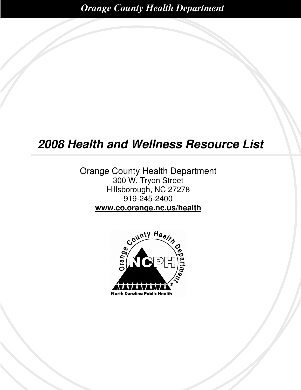*Orange County Health Department* 

# **2008 Health and Wellness Resource List**

Orange County Health Department 300 W. Tryon Street Hillsborough, NC 27278 919-245-2400 **www.co.orange.nc.us/health**

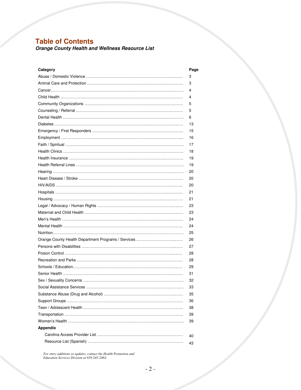# **Table of Contents**

**Orange County Health and Wellness Resource List**

| Category        | Page |
|-----------------|------|
|                 | 3    |
|                 | 3    |
|                 | 4    |
|                 | 4    |
|                 | 5    |
|                 | 5    |
|                 | 6    |
|                 | 13   |
|                 | 15   |
|                 | 16   |
|                 | 17   |
|                 | 18   |
|                 | 19   |
|                 | 19   |
|                 | 20   |
|                 | 20   |
|                 | 20   |
|                 | 21   |
|                 | 21   |
|                 | 23   |
|                 | 23   |
|                 | 24   |
|                 | 24   |
|                 | 25   |
|                 | 26   |
|                 | 27   |
|                 | 28   |
|                 | 28   |
|                 | 29   |
|                 | 31   |
|                 | 32   |
|                 | 33   |
|                 | 35   |
|                 | 36   |
|                 | 38   |
|                 | 39   |
|                 | 39   |
| <b>Appendix</b> |      |
|                 | 40   |
|                 | 43   |
|                 |      |

*For entry additions or updates, contact the Health Promotion and Education Services Division at 919-245-2462.*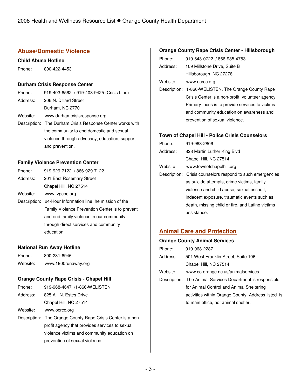## **Abuse/Domestic Violence**

#### **Child Abuse Hotline**

Phone: 800-422-4453

### **Durham Crisis Response Center**

| Phone:   | 919-403-6562 / 919-403-9425 (Crisis Line)                 |
|----------|-----------------------------------------------------------|
| Address: | 206 N. Dillard Street                                     |
|          | Durham, NC 27701                                          |
| Website: | www.durhamcrisisresponse.org                              |
|          | Description: The Durham Crisis Response Center works with |
|          | the community to end domestic and sexual                  |
|          | violence through advocacy, education, support             |
|          | and prevention.                                           |

### **Family Violence Prevention Center**

| Phone:   | 919-929-7122 / 866-929-7122 |
|----------|-----------------------------|
| Address: | 201 East Rosemary Street    |

- Chapel Hill, NC 27514
- Website: www.fvpcoc.org
- Description: 24-Hour Information line. he mission of the Family Violence Prevention Center is to prevent and end family violence in our community through direct services and community education.

#### **National Run Away Hotline**

| Phone:   | 800-231-6946        |
|----------|---------------------|
| Website: | www.1800runaway.org |

### **Orange County Rape Crisis - Chapel Hill**

- Phone: 919-968-4647 /1-866-WELISTEN
- Address: 825 A N. Estes Drive Chapel Hill, NC 27514
- Website: www.ocrcc.org
- Description: The Orange County Rape Crisis Center is a nonprofit agency that provides services to sexual violence victims and community education on prevention of sexual violence.

### **Orange County Rape Crisis Center - Hillsborough**

| Phone:       | 919-643-0722 / 866-935-4783                      |
|--------------|--------------------------------------------------|
| Address:     | 109 Millstone Drive, Suite B                     |
|              | Hillsborough, NC 27278                           |
| Website:     | www.ocrcc.org                                    |
| Description: | 1-866-WELISTEN. The Orange County Rape           |
|              | Crisis Center is a non-profit, volunteer agency. |
|              | Primary focus is to provide services to victims  |
|              | and community education on awareness and         |
|              | prevention of sexual violence.                   |

### **Town of Chapel Hill - Police Crisis Counselors**

| Phone:   | 919-968-2806                                               |
|----------|------------------------------------------------------------|
| Address: | 828 Martin Luther King Blvd                                |
|          | Chapel Hill, NC 27514                                      |
| Website: | www.townofchapelhill.org                                   |
|          | Description: Crisis counselors respond to such emergencies |
|          | as suicide attempts, crime victims, family                 |
|          | violence and child abuse, sexual assault,                  |
|          | indecent exposure, traumatic events such as                |
|          | death, missing child or fire, and Latino victims           |
|          | assistance.                                                |

## **Animal Care and Protection**

### **Orange County Animal Services**

| Phone:   | 919-968-2287                                               |
|----------|------------------------------------------------------------|
| Address: | 501 West Franklin Street, Suite 106                        |
|          | Chapel Hill, NC 27514                                      |
| Website: | www.co.orange.nc.us/animalservices                         |
|          | Description: The Animal Services Department is responsible |
|          | for Animal Control and Animal Sheltering                   |
|          | activities within Orange County. Address listed is         |
|          | to main office, not animal shelter.                        |
|          |                                                            |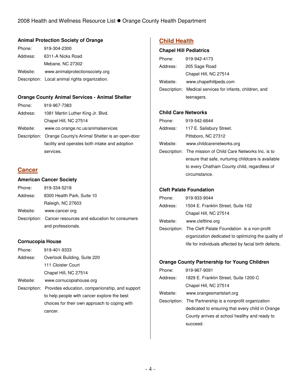### **Animal Protection Society of Orange**

| Phone:   | 919-304-2300                                   |
|----------|------------------------------------------------|
| Address: | 6311-A Nicks Road                              |
|          | Mebane, NC 27302                               |
| Website: | www.animalprotectionsociety.org                |
|          | Description: Local animal rights organization. |

### **Orange County Animal Services - Animal Shelter**

| Phone:   | 919-967-7383                                                |
|----------|-------------------------------------------------------------|
| Address: | 1081 Martin Luther King Jr. Blvd.                           |
|          | Chapel Hill, NC 27514                                       |
| Website: | www.co.orange.nc.us/animalservices                          |
|          | Description: Orange County's Animal Shelter is an open-door |
|          | facility and operates both intake and adoption              |
|          | services.                                                   |

## **Cancer**

### **American Cancer Society**

| Phone:   | 919-334-5218                                              |
|----------|-----------------------------------------------------------|
| Address: | 8300 Health Park, Suite 10                                |
|          | Raleigh, NC 27603                                         |
| Website: | www.cancer.org                                            |
|          | Description: Cancer resources and education for consumers |
|          | and professionals.                                        |

### **Cornucopia House**

| Phone:   | 919-401-9333                                                |
|----------|-------------------------------------------------------------|
| Address: | Overlook Building, Suite 220                                |
|          | 111 Cloister Court                                          |
|          | Chapel Hill, NC 27514                                       |
| Website: | www.cornucopiahouse.org                                     |
|          | Description: Provides education, companionship, and support |
|          | to help people with cancer explore the best                 |
|          | choices for their own approach to coping with               |
|          | cancer.                                                     |

## **Child Health**

### **Chapel Hill Pediatrics**

| Phone:   | 919-942-4173                                             |
|----------|----------------------------------------------------------|
| Address: | 205 Sage Road                                            |
|          | Chapel Hill, NC 27514                                    |
| Website: | www.chapelhillpeds.com                                   |
|          | Description: Medical services for infants, children, and |
|          | teenagers.                                               |

### **Child Care Networks**

| Phone:   | 919-542-6644                                               |
|----------|------------------------------------------------------------|
| Address: | 117 E. Salisbury Street.                                   |
|          | Pittsboro, NC 27312                                        |
| Website: | www.childcarenetworks.org                                  |
|          | Description: The mission of Child Care Networks Inc. is to |
|          | ensure that safe, nurturing childcare is available         |
|          | to every Chatham County child, regardless of               |
|          | circumstance.                                              |

### **Cleft Palate Foundation**

| Phone:   | 919-933-9044                                             |
|----------|----------------------------------------------------------|
| Address: | 1504 E. Franklin Street, Suite 102                       |
|          | Chapel Hill, NC 27514                                    |
| Website: | www.cleftline.org                                        |
|          | Description: The Cleft Palate Foundation is a non-profit |
|          | organization dedicated to optimizing the quality of      |
|          | life for individuals affected by facial birth defects.   |
|          |                                                          |

### **Orange County Partnership for Young Children**

| Phone:   | 919-967-9091                                             |
|----------|----------------------------------------------------------|
| Address: | 1829 E. Franklin Street, Suite 1200-C                    |
|          | Chapel Hill, NC 27514                                    |
| Website: | www.orangesmartstart.org                                 |
|          | Description: The Partnership is a nonprofit organization |
|          | dedicated to ensuring that every child in Orange         |
|          | County arrives at school healthy and ready to            |
|          | succeed.                                                 |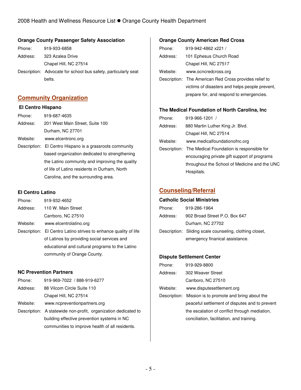### **Orange County Passenger Safety Association**

| Phone:   | 919-933-6858                                                   |
|----------|----------------------------------------------------------------|
| Address: | 323 Azalea Drive                                               |
|          | Chapel Hill, NC 27514                                          |
|          | Description: Advocate for school bus safety, particularly seat |
|          | belts.                                                         |

## **Community Organization**

#### **El Centro Hispano**

| Phone:   | 919-687-4635                                             |
|----------|----------------------------------------------------------|
| Address: | 201 West Main Street, Suite 100                          |
|          | Durham, NC 27701                                         |
| Website: | www.elcentronc.org                                       |
|          | Description: El Centro Hispano is a grassroots community |
|          | based organization dedicated to strengthening            |
|          | the Latino community and improving the quality           |
|          | of life of Latino residents in Durham, North             |
|          | Carolina, and the surrounding area.                      |
|          |                                                          |

### **El Centro Latino**

| Phone:   | 919-932-4652                                                     |
|----------|------------------------------------------------------------------|
| Address: | 110 W. Main Street                                               |
|          | Carrboro, NC 27510                                               |
| Website: | www.elcentrolatino.org                                           |
|          | Description: El Centro Latino strives to enhance quality of life |
|          | of Latinos by providing social services and                      |
|          | educational and cultural programs to the Latino                  |

### **NC Prevention Partners**

| Phone:   | 919-969-7022 / 888-919-6277                                    |
|----------|----------------------------------------------------------------|
| Address: | 88 Vilcom Circle Suite 110                                     |
|          | Chapel Hill, NC 27514                                          |
| Website: | www.ncpreventionpartners.org                                   |
|          | Description: A statewide non-profit, organization dedicated to |
|          | building effective prevention systems in NC                    |
|          | communities to improve health of all residents.                |

community of Orange County.

### **Orange County American Red Cross**

| Phone:   | 919-942-4862 x221 /                                    |
|----------|--------------------------------------------------------|
| Address: | 101 Ephesus Church Road                                |
|          | Chapel Hill, NC 27517                                  |
| Website: | www.ocncredcross.org                                   |
|          | Description: The American Red Cross provides relief to |
|          | victims of disasters and helps people prevent,         |
|          | prepare for, and respond to emergencies.               |
|          |                                                        |

## **The Medical Foundation of North Carolina, Inc**

| Phone:   | $919-966-1201$ /                                       |
|----------|--------------------------------------------------------|
| Address: | 880 Martin Luther King Jr. Blvd.                       |
|          | Chapel Hill, NC 27514                                  |
| Website: | www.medicalfoundationofnc.org                          |
|          | Description: The Medical Foundation is responsible for |
|          | encouraging private gift support of programs           |
|          | throughout the School of Medicine and the UNC          |
|          | Hospitals.                                             |

## **Counseling/Referral**

### **Catholic Social Ministries**

| Phone:   | 919-286-1964                                            |
|----------|---------------------------------------------------------|
| Address: | 902 Broad Street P.O. Box 647                           |
|          | Durham, NC 27702                                        |
|          | Description: Sliding scale counseling, clothing closet, |
|          | emergency finanical assistance.                         |

### **Dispute Settlement Center**

| Phone:   | 919-929-8800                                           |
|----------|--------------------------------------------------------|
| Address: | 302 Weaver Street                                      |
|          | Carrboro, NC 27510                                     |
| Website: | www.disputesettlement.org                              |
|          | Description: Mission is to promote and bring about the |
|          | peaceful settlement of disputes and to prevent         |
|          | the escalation of conflict through mediation,          |
|          | conciliation, facilitation, and training.              |
|          |                                                        |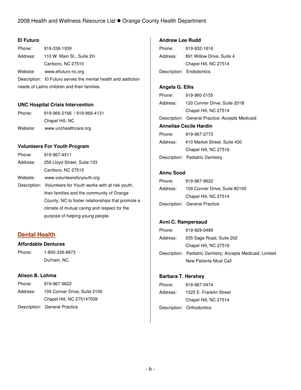### **El Futuro**

| Phone:                                       | 919-338-1939                                                  |
|----------------------------------------------|---------------------------------------------------------------|
|                                              | Address: 110 W. Main St., Suite 2H                            |
|                                              | Carrboro, NC 27510                                            |
|                                              | Website: www.elfuturo-nc.org                                  |
|                                              | Description: El Futuro serves the mental health and addiction |
| needs of Latino children and their families. |                                                               |

### **UNC Hospital Crisis Intervention**

| Phone:   | 919-966-2166 / 919-966-4131 |
|----------|-----------------------------|
|          | Chapel Hill, NC             |
| Website: | www.unchealthcare.org       |

### **Volunteers For Youth Program**

| Phone:   | 919-967-4511                                                |
|----------|-------------------------------------------------------------|
| Address: | 250 Lloyd Street, Suite 103                                 |
|          | Carrboro, NC 27510                                          |
| Website: | www.volunteersforyouth.org                                  |
|          | Description: Volunteers for Youth works with at risk youth, |
|          | their families and the community of Orange                  |
|          | County, NC to foster relationships that promote a           |
|          | climate of mutual caring and respect for the                |
|          | purpose of helping young people.                            |

## **Dental Health**

### **Affordable Dentures**

Phone: 1-800-336-8873 Durham, NC

### **Alison B. Lohma**

| Phone:   | 919-967-9622                  |
|----------|-------------------------------|
| Address: | 109 Conner Drive, Suite 2100  |
|          | Chapel Hill, NC 275147039     |
|          | Description: General Practice |

### **Andrew Lee Rudd**

| Phone:   | 919-932-1616              |
|----------|---------------------------|
| Address: | 891 Willow Drive, Suite 4 |
|          | Chapel Hill, NC 27514     |
|          | Description: Endodontics  |

### **Angela G. Ellis**

| Phone:                        | 919-960-0155                                    |  |
|-------------------------------|-------------------------------------------------|--|
| Address:                      | 120 Conner Drive, Suite 201B                    |  |
|                               | Chapel Hill, NC 27514                           |  |
|                               | Description: General Practice; Accepts Medicaid |  |
| <b>Annelise Cecile Hardin</b> |                                                 |  |
| Phone:                        | 919-967-2773                                    |  |
| Address:                      | 410 Market Street, Suite 430                    |  |
|                               | Chapel Hill, NC 27516                           |  |
|                               | Description: Pediatric Dentistry                |  |

### **Annu Sood**

| Phone:   | 919-967-9622                  |
|----------|-------------------------------|
| Address: | 109 Conner Drive, Suite #2100 |
|          | Chapel Hill, NC 27514         |
|          | Description: General Practice |

### **Avni C. Rampersaud**

| Phone:   | 919-929-0489                                                |
|----------|-------------------------------------------------------------|
| Address: | 205 Sage Road, Suite 202                                    |
|          | Chapel Hill, NC 27516                                       |
|          | Description: Pediatric Dentistry; Accepts Medicaid; Limited |
|          | New Patients Must Call                                      |

### **Barbara T. Hershey**

| Phone:   | 919-967-0474              |
|----------|---------------------------|
| Address: | 1525 E. Franklin Street   |
|          | Chapel Hill, NC 27514     |
|          | Description: Orthodontics |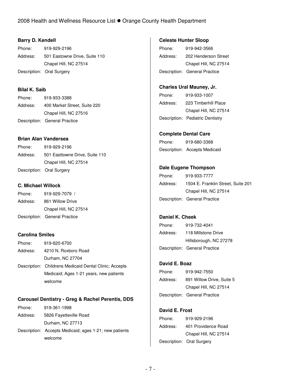### **Barry D. Kendell**

| Phone:   | 919-929-2196                  |
|----------|-------------------------------|
| Address: | 501 Eastowne Drive, Suite 110 |
|          | Chapel Hill, NC 27514         |
|          | Description: Oral Surgery     |

## **Bilal K. Saib**

| Phone:   | 919-933-3388                  |
|----------|-------------------------------|
| Address: | 400 Market Street, Suite 220  |
|          | Chapel Hill, NC 27516         |
|          | Description: General Practice |

### **Brian Alan Vandersea**

Phone: 919-929-2196 Address: 501 Easttowne Drive, Suite 110 Chapel Hill, NC 27514 Description: Oral Surgery

### **C. Michael Willock**

| Phone:   | 919-929-7079 /                |
|----------|-------------------------------|
| Address: | 861 Willow Drive              |
|          | Chapel Hill, NC 27514         |
|          | Description: General Practice |

### **Carolina Smiles**

| Phone:   | 919-620-6700                                           |
|----------|--------------------------------------------------------|
| Address: | 4210 N. Roxboro Road                                   |
|          | Durham, NC 27704                                       |
|          | Description: Childrens Medicaid Dental Clinic; Accepts |
|          | Medicaid; Ages 1-21 years, new patients                |
|          | welcome                                                |

### **Carousel Dentistry - Greg & Rachel Perentis, DDS**

| Phone:   | 919-361-1998                                           |
|----------|--------------------------------------------------------|
| Address: | 5826 Fayetteville Road                                 |
|          | Durham, NC 27713                                       |
|          | Description: Accepts Medicaid; ages 1-21; new patients |
|          | welcome                                                |

### **Celeste Hunter Sloop**

| Phone:   | 919-942-3566                  |
|----------|-------------------------------|
| Address: | 202 Henderson Street          |
|          | Chapel Hill, NC 27514         |
|          | Description: General Practice |

## **Charles Ural Mauney, Jr.**

| Phone:   | 919-933-1007                     |
|----------|----------------------------------|
| Address: | 223 Timberhill Place             |
|          | Chapel Hill, NC 27514            |
|          | Description: Pediatric Dentistry |

### **Complete Dental Care**

| Phone: | 919-680-3368                  |
|--------|-------------------------------|
|        | Description: Accepts Medicaid |

### **Dale Eugene Thompson**

| Phone:   | 919-933-7777                       |
|----------|------------------------------------|
| Address: | 1504 E. Franklin Street, Suite 201 |
|          | Chapel Hill, NC 27514              |
|          | Description: General Practice      |

### **Daniel K. Cheek**

| Phone:   | 919-732-4041                  |
|----------|-------------------------------|
| Address: | 118 Millstone Drive           |
|          | Hillsborough, NC 27278        |
|          | Description: General Practice |

## **David E. Boaz**

| Phone:   | 919-942-7550                  |
|----------|-------------------------------|
| Address: | 891 Willow Drive, Suite 5     |
|          | Chapel Hill, NC 27514         |
|          | Description: General Practice |

### **David E. Frost**

|          | Description: Oral Surgery |
|----------|---------------------------|
|          | Chapel Hill, NC 27514     |
| Address: | 401 Providence Road       |
| Phone:   | 919-929-2196              |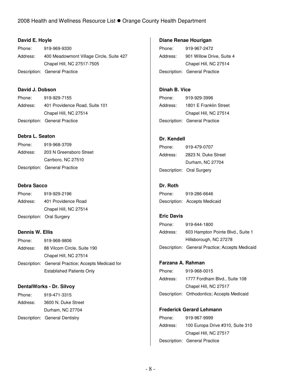### **David E. Hoyle**

| Phone:   | 919-969-9330                             |
|----------|------------------------------------------|
| Address: | 400 Meadowmont Village Circle, Suite 427 |
|          | Chapel Hill, NC 27517-7505               |
|          | Description: General Practice            |

### **David J. Dobson**

| Phone:   | 919-929-7155                   |
|----------|--------------------------------|
| Address: | 401 Providence Road, Suite 101 |
|          | Chapel Hill, NC 27514          |
|          | Description: General Practice  |

### **Debra L. Seaton**

| Phone:   | 919-968-3709                  |
|----------|-------------------------------|
| Address: | 203 N Greensboro Street       |
|          | Carrboro, NC 27510            |
|          | Description: General Practice |

## **Debra Sacco**

| Phone:   | 919-929-2196              |
|----------|---------------------------|
| Address: | 401 Providence Road       |
|          | Chapel Hill, NC 27514     |
|          | Description: Oral Surgery |

### **Dennis W. Ellis**

| Phone:   | 919-968-9806                                        |
|----------|-----------------------------------------------------|
| Address: | 88 Vilcom Circle, Suite 190                         |
|          | Chapel Hill, NC 27514                               |
|          | Description: General Practice; Accepts Medicaid for |
|          | <b>Established Patients Only</b>                    |

### **DentalWorks - Dr. Silvoy**

| Phone:   | 919-471-3315                   |
|----------|--------------------------------|
| Address: | 3600 N. Duke Street            |
|          | Durham, NC 27704               |
|          | Description: General Dentistry |

### **Diane Renae Hourigan**

Phone: 919-967-2472 Address: 901 Willow Drive, Suite 4 Chapel Hill, NC 27514 Description: General Practice

## **Dinah B. Vice**

| Phone:   | 919-929-3996                  |
|----------|-------------------------------|
| Address: | 1801 E Franklin Street        |
|          | Chapel Hill, NC 27514         |
|          | Description: General Practice |

### **Dr. Kendell**

| Phone:   | 919-479-0707              |
|----------|---------------------------|
| Address: | 2823 N. Duke Street       |
|          | Durham, NC 27704          |
|          | Description: Oral Surgery |

## **Dr. Roth**

| Phone: | 919-286-6646                  |
|--------|-------------------------------|
|        | Description: Accepts Medicaid |

#### **Eric Davis**

| Phone:   | 919-644-1800                                    |
|----------|-------------------------------------------------|
| Address: | 603 Hampton Pointe Blvd., Suite 1               |
|          | Hillsborough, NC 27278                          |
|          | Description: General Practice; Accepts Medicaid |

### **Farzana A. Rahman**

| Phone:   | 919-968-0015                                |
|----------|---------------------------------------------|
| Address: | 1777 Fordham Blvd., Suite 108               |
|          | Chapel Hill, NC 27517                       |
|          | Description: Orthodontics; Accepts Medicaid |

### **Frederick Gerard Lehmann**

| Phone:   | 919-967-9999                     |
|----------|----------------------------------|
| Address: | 100 Europa Drive #310, Suite 310 |
|          | Chapel Hill, NC 27517            |
|          | Description: General Practice    |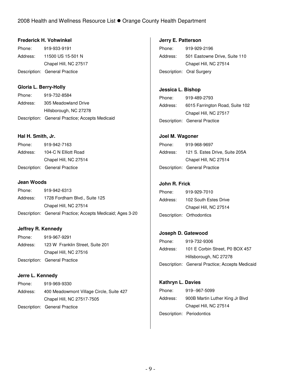### **Frederick H. Vohwinkel**

| Phone:   | 919-933-9191                  |
|----------|-------------------------------|
| Address: | 11500 US 15-501 N             |
|          | Chapel Hill, NC 27517         |
|          | Description: General Practice |

## **Gloria L. Berry-Holly**

| Phone:   | 919-732-8584                                    |
|----------|-------------------------------------------------|
| Address: | 305 Meadowland Drive                            |
|          | Hillsborough, NC 27278                          |
|          | Description: General Practice; Accepts Medicaid |

### **Hal H. Smith, Jr.**

| Phone:   | 919-942-7163                  |
|----------|-------------------------------|
| Address: | 104-C N Elliott Road          |
|          | Chapel Hill, NC 27514         |
|          | Description: General Practice |

### **Jean Woods**

| Phone:   | 919-942-6313                                               |
|----------|------------------------------------------------------------|
| Address: | 1728 Fordham Blvd., Suite 125                              |
|          | Chapel Hill, NC 27514                                      |
|          | Description: General Practice; Accepts Medicaid; Ages 3-20 |

## **Jeffrey R. Kennedy**

| Phone:   | 919-967-9291                     |
|----------|----------------------------------|
| Address: | 123 W Franklin Street, Suite 201 |
|          | Chapel Hill, NC 27516            |
|          | Description: General Practice    |

### **Jerre L. Kennedy**

| Phone:   | 919-969-9330                             |
|----------|------------------------------------------|
| Address: | 400 Meadowmont Village Circle, Suite 427 |
|          | Chapel Hill, NC 27517-7505               |
|          | Description: General Practice            |

**Jerry E. Patterson**  Phone: 919-929-2196 Address: 501 Eastowne Drive, Suite 110 Chapel Hill, NC 27514 Description: Oral Surgery

## **Jessica L. Bishop**

| Phone:   | 919-489-2793                    |
|----------|---------------------------------|
| Address: | 6015 Farrington Road, Suite 102 |
|          | Chapel Hill, NC 27517           |
|          | Description: General Practice   |

### **Joel M. Wagoner**

| Phone:   | 919-968-9697                   |
|----------|--------------------------------|
| Address: | 121 S. Estes Drive, Suite 205A |
|          | Chapel Hill, NC 27514          |
|          | Description: General Practice  |

### **John R. Frick**

| Phone:   | 919-929-7010              |
|----------|---------------------------|
| Address: | 102 South Estes Drive     |
|          | Chapel Hill, NC 27514     |
|          | Description: Orthodontics |
|          |                           |

### **Joseph D. Gatewood**

| Phone:   | 919-732-9306                                    |
|----------|-------------------------------------------------|
| Address: | 101 E Corbin Street, P0 BOX 457                 |
|          | Hillsborough, NC 27278                          |
|          | Description: General Practice; Accepts Medicaid |

### **Kathryn L. Davies**

| Phone:   | 919--967-5099                   |
|----------|---------------------------------|
| Address: | 900B Martin Luther King Jr Blvd |
|          | Chapel Hill, NC 27514           |
|          | Description: Periodontics       |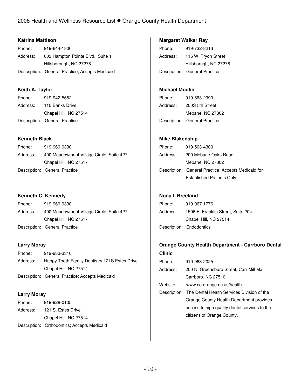### **Katrina Mattison**

| Phone:   | 919-644-1800                                    |
|----------|-------------------------------------------------|
| Address: | 603 Hampton Pointe Blvd., Suite 1               |
|          | Hillsborough, NC 27278                          |
|          | Description: General Practice; Accepts Medicaid |

## **Keith A. Taylor**

| Phone:   | 919-942-5652                  |
|----------|-------------------------------|
| Address: | 110 Banks Drive               |
|          | Chapel Hill, NC 27514         |
|          | Description: General Practice |

## **Kenneth Black**

| Phone:   | 919-969-9330                             |
|----------|------------------------------------------|
| Address: | 400 Meadowmont Village Circle, Suite 427 |
|          | Chapel Hill, NC 27517                    |
|          | Description: General Practice            |

### **Kenneth C. Kennedy**

| Phone:   | 919-969-9330                             |
|----------|------------------------------------------|
| Address: | 400 Meadowmont Village Circle, Suite 427 |
|          | Chapel Hill, NC 27517                    |
|          | Description: General Practice            |

### **Larry Moray**

| Phone:   | 919-933-3310                                    |
|----------|-------------------------------------------------|
| Address: | Happy Tooth Family Dentistry 121S Estes Drive   |
|          | Chapel Hill, NC 27514                           |
|          | Description: General Practice; Accepts Medicaid |

### **Larry Moray**

| Phone:   | 919-928-0105                                |
|----------|---------------------------------------------|
| Address: | 121 S. Estes Drive                          |
|          | Chapel Hill, NC 27514                       |
|          | Description: Orthodontics; Accepts Medicaid |

### **Margaret Walker Ray**

Phone: 919-732-8213 Address: 115 W. Tryon Street Hillsborugh, NC 27278 Description: General Practice

## **Michael Modlin**

| Phone:   | 919-563-2990                  |
|----------|-------------------------------|
| Address: | 200S 5th Street               |
|          | Mebane, NC 27302              |
|          | Description: General Practice |

### **Mike Blakenship**

| Phone:   | 919-563-4300                                        |
|----------|-----------------------------------------------------|
| Address: | 200 Mebane Oaks Road                                |
|          | Mebane, NC 27302                                    |
|          | Description: General Practice; Accepts Medicaid for |
|          | <b>Established Patients Only</b>                    |
|          |                                                     |

### **Nona I. Breeland**

| Phone:   | 919-967-1776                       |
|----------|------------------------------------|
| Address: | 1506 E. Franklin Street, Suite 204 |
|          | Chapel Hill, NC 27514              |
|          | Description: Endodontics           |

## **Orange County Health Department - Carrboro Dental**

| <b>Clinic</b> |                                                         |
|---------------|---------------------------------------------------------|
| Phone:        | 919-968-2025                                            |
| Address:      | 200 N. Greensboro Street, Carr Mill Mall                |
|               | Carrboro, NC 27510                                      |
| Website:      | www.co.orange.nc.us/health                              |
|               | Description: The Dental Health Services Division of the |
|               | Orange County Health Department provides                |
|               | access to high quality dental services to the           |
|               | citizens of Orange County.                              |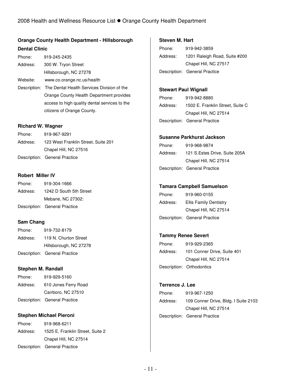## **Orange County Health Department - Hillsborough Dental Clinic**

| Phone:   | 919-245-2435                                            |
|----------|---------------------------------------------------------|
| Address: | 300 W. Tryon Street                                     |
|          | Hillsborough, NC 27278                                  |
| Website: | www.co.orange.nc.us/health                              |
|          | Description: The Dental Health Services Division of the |
|          | Orange County Health Department provides                |
|          | access to high quality dental services to the           |
|          | citizens of Orange County.                              |

### **Richard W. Wagner**

| Phone:   | 919-967-9291                        |
|----------|-------------------------------------|
| Address: | 123 West Franklin Street, Suite 201 |
|          | Chapel Hill, NC 27516               |
|          | Description: General Practice       |

### **Robert Miller IV**

| Phone:   | 919-304-1666                  |
|----------|-------------------------------|
| Address: | 1242 D South 5th Street       |
|          | Mebane, NC 27302:             |
|          | Description: General Practice |

### **Sam Chang**

| Phone:   | 919-732-8179                  |
|----------|-------------------------------|
| Address: | 119 N. Churton Street         |
|          | Hillsborough, NC 27278        |
|          | Description: General Practice |

### **Stephen M. Randall**

|          | Description: General Practice |
|----------|-------------------------------|
|          | Carrboro, NC 27510            |
| Address: | 610 Jones Ferry Road          |
| Phone:   | 919-929-5160                  |

### **Stephen Michael Pieroni**

| Phone:   | 919-968-6211                     |
|----------|----------------------------------|
| Address: | 1525 E. Franklin Street, Suite 2 |
|          | Chapel Hill, NC 27514            |
|          | Description: General Practice    |

### **Steven M. Hart**

| Phone:   | 919-942-3859                  |
|----------|-------------------------------|
| Address: | 1201 Raleigh Road, Suite #200 |
|          | Chapel Hill, NC 27517         |
|          | Description: General Practice |

### **Stewart Paul Wignall**

| Phone:   | 919-942-8880                     |
|----------|----------------------------------|
| Address: | 1502 E. Franklin Street, Suite C |
|          | Chapel Hill, NC 27514            |
|          | Description: General Practice    |

### **Susanne Parkhurst Jackson**

| Phone:   | 919-968-9874                  |
|----------|-------------------------------|
| Address: | 121 S.Estes Drive, Suite 205A |
|          | Chapel Hill, NC 27514         |
|          | Description: General Practice |

### **Tamara Campbell Samuelson**

| Phone:   | 919-960-0155                  |
|----------|-------------------------------|
| Address: | <b>Ellis Family Dentistry</b> |
|          | Chapel Hill, NC 27514         |
|          | Description: General Practice |

## **Tammy Renee Severt**

| Phone:   | 919-929-2365                |
|----------|-----------------------------|
| Address: | 101 Conner Drive, Suite 401 |
|          | Chapel Hill, NC 27514       |
|          | Description: Orthodontics   |

## **Terrence J. Lee**

| Phone:   | 919-967-1250                         |
|----------|--------------------------------------|
| Address: | 109 Conner Drive, Bldg. I Suite 2103 |
|          | Chapel Hill, NC 27514                |
|          | Description: General Practice        |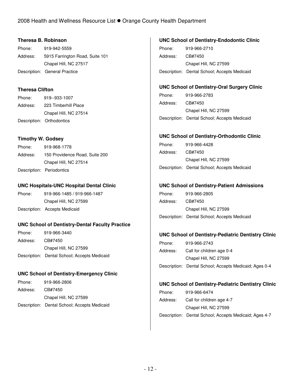### **Theresa B. Robinson**

| Phone:   | 919-942-5559                    |
|----------|---------------------------------|
| Address: | 5915 Farrington Road, Suite 101 |
|          | Chapel Hill, NC 27517           |
|          | Description: General Practice   |

### **Theresa Clifton**

| Phone:   | 919--933-1007             |
|----------|---------------------------|
| Address: | 223 Timberhill Place      |
|          | Chapel Hill, NC 27514     |
|          | Description: Orthodontics |

#### **Timothy W. Godsey**

| Phone:   | 919-968-1778                   |
|----------|--------------------------------|
| Address: | 150 Providence Road, Suite 200 |
|          | Chapel Hill, NC 27514          |
|          | Description: Periodontics      |

### **UNC Hospitals-UNC Hospital Dental Clinic**

Phone: 919-966-1485 / 919-966-1487 Chapel Hill, NC 27599 Description: Accepts Medicaid

### **UNC School of Dentistry-Dental Faculty Practice**

Phone: 919-966-3440 Address: CB#7450 Chapel Hill, NC 27599 Description: Dental School; Accepts Medicaid

### **UNC School of Dentistry-Emergency Clinic**

| Phone:   | 919-966-2806                                 |
|----------|----------------------------------------------|
| Address: | CB#7450                                      |
|          | Chapel Hill, NC 27599                        |
|          | Description: Dental School; Accepts Medicaid |

### **UNC School of Dentistry-Endodontic Clinic**

Phone: 919-966-2710 Address: CB#7450 Chapel Hill, NC 27599 Description: Dental School; Accepts Medicaid

## **UNC School of Dentistry-Oral Surgery Clinic**

| Phone:   | 919-966-2783                                 |
|----------|----------------------------------------------|
| Address: | CB#7450                                      |
|          | Chapel Hill, NC 27599                        |
|          | Description: Dental School; Accepts Medicaid |

### **UNC School of Dentistry-Orthodontic Clinic**

| Phone:   | 919-966-4428                                 |
|----------|----------------------------------------------|
| Address: | CB#7450                                      |
|          | Chapel Hill, NC 27599                        |
|          | Description: Dental School; Accepts Medicaid |

#### **UNC School of Dentistry-Patient Admissions**

| Phone:   | 919-966-2805                                 |
|----------|----------------------------------------------|
| Address: | CB#7450                                      |
|          | Chapel Hill, NC 27599                        |
|          | Description: Dental School; Accepts Medicaid |

#### **UNC School of Dentistry-Pediatric Dentistry Clinic**

| Phone:   | 919-966-2743                                           |
|----------|--------------------------------------------------------|
| Address: | Call for children age 0-4                              |
|          | Chapel Hill, NC 27599                                  |
|          | Description: Dental School; Accepts Medicaid; Ages 0-4 |

#### **UNC School of Dentistry-Pediatric Dentistry Clinic**

| Phone:   | 919-966-6474                                           |
|----------|--------------------------------------------------------|
| Address: | Call for children age 4-7                              |
|          | Chapel Hill, NC 27599                                  |
|          | Description: Dental School; Accepts Medicaid; Ages 4-7 |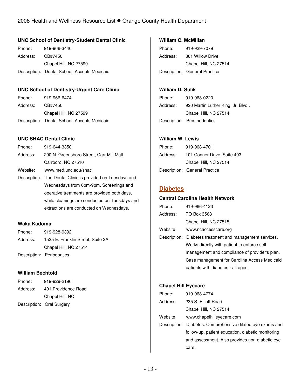### **UNC School of Dentistry-Student Dental Clinic**

Phone: 919-966-3440 Address: CB#7450 Chapel Hill, NC 27599 Description: Dental School; Accepts Medicaid

### **UNC School of Dentistry-Urgent Care Clinic**

| Phone:   | 919-966-6474                                 |
|----------|----------------------------------------------|
| Address: | CB#7450                                      |
|          | Chapel Hill, NC 27599                        |
|          | Description: Dental School; Accepts Medicaid |

### **UNC SHAC Dental Clinic**

| Phone:   | 919-644-3350                                               |
|----------|------------------------------------------------------------|
| Address: | 200 N. Greensboro Street, Carr Mill Mall                   |
|          | Carrboro, NC 27510                                         |
| Website: | www.med.unc.edu/shac                                       |
|          | Description: The Dental Clinic is provided on Tuesdays and |
|          | Wednesdays from 6pm-9pm. Screenings and                    |
|          | operative treatments are provided both days,               |
|          | while cleanings are conducted on Tuesdays and              |
|          | extractions are conducted on Wednesdays.                   |

### **Waka Kadoma**

| Phone:   | 919-928-9392                      |
|----------|-----------------------------------|
| Address: | 1525 E. Franklin Street, Suite 2A |
|          | Chapel Hill, NC 27514             |
|          | Description: Periodontics         |

### **William Bechtold**

| Phone:   | 919-929-2196              |
|----------|---------------------------|
| Address: | 401 Providence Road       |
|          | Chapel Hill, NC           |
|          | Description: Oral Surgery |

### **William C. McMillan**

Phone: 919-929-7079 Address: 861 Willow Drive Chapel Hill, NC 27514 Description: General Practice

## **William D. Sulik**

| Phone:   | 919-968-0220                     |
|----------|----------------------------------|
| Address: | 920 Martin Luther King, Jr. Blvd |
|          | Chapel Hill, NC 27514            |
|          | Description: Prosthodontics      |

### **William W. Lewis**

| Phone:   | 919-968-4701                  |
|----------|-------------------------------|
| Address: | 101 Conner Drive, Suite 403   |
|          | Chapel Hill, NC 27514         |
|          | Description: General Practice |

## **Diabetes**

### **Central Carolina Health Network**

| Phone:   | 919-966-4123                                             |
|----------|----------------------------------------------------------|
| Address: | PO Box 3568                                              |
|          | Chapel Hill, NC 27515                                    |
| Website: | www.ncaccesscare.org                                     |
|          | Description: Diabetes treatment and management services. |
|          | Works directly with patient to enforce self-             |
|          | management and compliance of provider's plan.            |
|          | Case management for Carolina Access Medicaid             |
|          | patients with diabetes - all ages.                       |

### **Chapel Hill Eyecare**

| Phone:     | 919-968-4774                                               |
|------------|------------------------------------------------------------|
| Address:   | 235 S. Elliott Road                                        |
|            | Chapel Hill, NC 27514                                      |
| Website: . | www.chapelhilleyecare.com                                  |
|            | Description: Diabetes: Comprehensive dilated eye exams and |
|            | follow-up, patient education, diabetic monitoring          |
|            | and assessment. Also provides non-diabetic eye             |
|            | care.                                                      |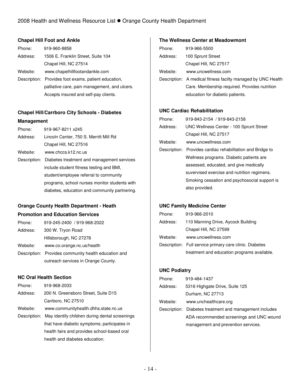### **Chapel Hill Foot and Ankle**

| Phone:   | 919-960-8858                                         |
|----------|------------------------------------------------------|
| Address: | 1506 E. Franklin Street, Suite 104                   |
|          | Chapel Hill, NC 27514                                |
| Website: | www.chapelhillfootandankle.com                       |
|          | Description: Provides foot exams, patient education, |
|          | palliative care, pain management, and ulcers.        |
|          | Accepts insured and self-pay clients.                |

## **Chapel Hill/Carrboro City Schools - Diabetes Management**

| Phone:   | 919-967-8211 x245                                       |
|----------|---------------------------------------------------------|
| Address: | Lincoln Center, 750 S. Merritt Mill Rd                  |
|          | Chapel Hill, NC 27516                                   |
| Website: | www.chccs.k12.nc.us                                     |
|          | Description: Diabetes treatment and management services |
|          | include student fitness testing and BMI,                |
|          | student/employee referral to community                  |
|          | programs, school nurses monitor students with           |
|          | diabetes, education and community partnering.           |

## **Orange County Health Department - Heath**

### **Promotion and Education Services**

| Phone:   | 919-245-2400 / 919-968-2022                          |
|----------|------------------------------------------------------|
| Address: | 300 W. Tryon Road                                    |
|          | Hillsborough, NC 27278                               |
| Website: | www.co.orange.nc.us/health                           |
|          | Description: Provides community health education and |
|          | outreach services in Orange County.                  |

### **NC Oral Health Section**

| Phone:       | 919-968-2033                                   |
|--------------|------------------------------------------------|
| Address:     | 200 N. Greensboro Street, Suite D15            |
|              | Carrboro, NC 27510                             |
| Website:     | www.communityhealth.dhhs.state.nc.us           |
| Description: | May identify children during dental screenings |
|              | that have diabetic symptoms; participates in   |
|              | health fairs and provides school-based oral    |
|              | health and diabetes education.                 |

### **The Wellness Center at Meadowmont**

| Phone:   | 919-966-5500                                                 |
|----------|--------------------------------------------------------------|
| Address: | 100 Sprunt Street                                            |
|          | Chapel Hill, NC 27517                                        |
| Website: | www.uncwellness.com                                          |
|          | Description: A medical fitness facilty managed by UNC Health |
|          | Care. Membership required. Provides nutrition                |
|          | education for diabetic patients.                             |

### **UNC Cardiac Rehabilitation**

| Phone:                                                     | 919-843-2154 / 919-843-2158                    |  |
|------------------------------------------------------------|------------------------------------------------|--|
| Address:                                                   | <b>UNC Wellness Center - 100 Sprunt Street</b> |  |
|                                                            | Chapel Hill, NC 27517                          |  |
| Website:                                                   | www.uncwellness.com                            |  |
| Description: Provides cardiac rehabilitation and Bridge to |                                                |  |
|                                                            | Wellness programs. Diabetic patients are       |  |
|                                                            | assessed, educated, and give medically         |  |
|                                                            | suvervised exercise and nutrition regimens.    |  |
|                                                            | Smoking cessation and psychosocial support is  |  |
|                                                            | also provided.                                 |  |

### **UNC Family Medicine Center**

| Phone:   | 919-966-2010                                            |  |
|----------|---------------------------------------------------------|--|
| Address: | 110 Manning Drive, Aycock Building                      |  |
|          | Chapel Hill, NC 27599                                   |  |
| Website: | www.uncwellness.com                                     |  |
|          | Description: Full service primary care clinic. Diabetes |  |
|          | treatment and education programs available.             |  |

#### **UNC Podiatry**

| Phone:   | 919-484-1437                                            |  |
|----------|---------------------------------------------------------|--|
| Address: | 5316 Highgate Drive, Suite 125                          |  |
|          | Durham, NC 27713                                        |  |
| Website: | www.unchealthcare.org                                   |  |
|          | Description: Diabetes treatment and management includes |  |
|          | ADA recommended screenings and UNC wound                |  |
|          | management and prevention services.                     |  |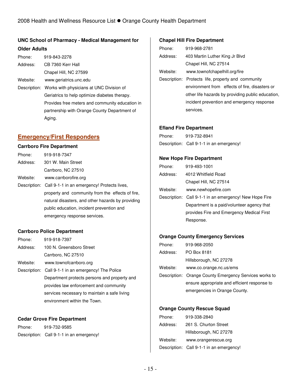## **UNC School of Pharmacy - Medical Management for Older Adults**

| Phone:   | 919-843-2278                                          |
|----------|-------------------------------------------------------|
| Address: | CB 7360 Kerr Hall                                     |
|          | Chapel Hill, NC 27599                                 |
| Website: | www.geriatrics.unc.edu                                |
|          | Description: Works with physicians at UNC Division of |
|          | Geriatrics to help optimize diabetes therapy.         |
|          | Provides free meters and community education in       |
|          | partnership with Orange County Department of          |
|          | Aging.                                                |

## **Emergency/First Responders**

## **Carrboro Fire Department**

| Phone:   | 919-918-7347                                             |
|----------|----------------------------------------------------------|
| Address: | 301 W. Main Street                                       |
|          | Carrboro, NC 27510                                       |
| Website: | www.carrborofire.org                                     |
|          | Description: Call 9-1-1 in an emergency! Protects lives, |
|          | property and community from the effects of fire,         |
|          | natural disasters, and other hazards by providing        |
|          | public education, incident prevention and                |
|          | emergency response services.                             |

### **Carrboro Police Department**

| Phone:                                              | 919-918-7397                                 |  |
|-----------------------------------------------------|----------------------------------------------|--|
| Address:                                            | 100 N. Greensboro Street                     |  |
|                                                     | Carrboro, NC 27510                           |  |
| Website:                                            | www.townofcarrboro.org                       |  |
| Description: Call 9-1-1 in an emergency! The Police |                                              |  |
|                                                     | Department protects persons and property and |  |
|                                                     | provides law enforcement and community       |  |
|                                                     | services necessary to maintain a safe living |  |
|                                                     | environment within the Town.                 |  |

#### **Cedar Grove Fire Department**

| Phone: | 919-732-9585                             |
|--------|------------------------------------------|
|        | Description: Call 9-1-1 in an emergency! |

#### **Chapel Hill Fire Department**

| Phone:   | 919-968-2781                                       |
|----------|----------------------------------------------------|
| Address: | 403 Martin Luther King Jr Blvd                     |
|          | Chapel Hill, NC 27514                              |
| Website: | www.townofchapelhill.org/fire                      |
|          | Description: Protects life, property and community |
|          | environment from effects of fire, disasters or     |
|          | other life hazards by providing public education,  |
|          | incident prevention and emergency response         |
|          | services.                                          |
|          |                                                    |

### **Efland Fire Department**

| Phone: | 919-732-8941                             |
|--------|------------------------------------------|
|        | Description: Call 9-1-1 in an emergency! |

### **New Hope Fire Department**

| Phone:   | 919-493-1001                                           |
|----------|--------------------------------------------------------|
| Address: | 4012 Whitfield Road                                    |
|          | Chapel Hill, NC 27514                                  |
| Website: | www.newhopefire.com                                    |
|          | Description: Call 9-1-1 in an emergency! New Hope Fire |
|          | Department is a paid/volunteer agency that             |
|          | provides Fire and Emergency Medical First              |
|          | Response.                                              |
|          |                                                        |

### **Orange County Emergency Services**

| Phone:   | 919-968-2050                                           |
|----------|--------------------------------------------------------|
| Address: | PO Box 8181                                            |
|          | Hillsborough, NC 27278                                 |
| Website: | www.co.orange.nc.us/ems                                |
|          | Description: Orange County Emergency Services works to |
|          | ensure appropriate and efficient response to           |
|          | emergencies in Orange County.                          |
|          |                                                        |

## **Orange County Rescue Squad**

| Phone:   | 919-338-2840                             |
|----------|------------------------------------------|
| Address: | 261 S. Churton Street                    |
|          | Hillsborough, NC 27278                   |
| Website: | www.orangerescue.org                     |
|          | Description: Call 9-1-1 in an emergency! |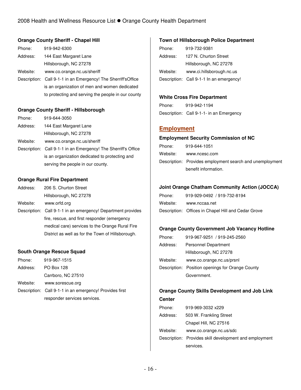### **Orange County Sheriff - Chapel Hill**

| Phone:   | 919-942-6300                                                   |
|----------|----------------------------------------------------------------|
| Address: | 144 East Margaret Lane                                         |
|          | Hillsborough, NC 27278                                         |
| Website: | www.co.orange.nc.us/sheriff                                    |
|          | Description: Call 9-1-1 in an Emergency! The Sherriff's Office |
|          | is an organization of men and women dedicated                  |
|          | to protecting and serving the people in our county             |

#### **Orange County Sheriff - Hillsborough**

| Phone:   | 919-644-3050                                                   |
|----------|----------------------------------------------------------------|
| Address: | 144 East Margaret Lane                                         |
|          | Hillsborough, NC 27278                                         |
| Website: | www.co.orange.nc.us/sheriff                                    |
|          | Description: Call 9-1-1 in an Emergency! The Sherriff's Office |
|          | is an organization dedicated to protecting and                 |
|          | serving the people in our county.                              |
|          |                                                                |

### **Orange Rural Fire Department**

| Address: | 206 S. Churton Street  |
|----------|------------------------|
|          | Hillsborough, NC 27278 |

- Website: www.orfd.org
- Description: Call 9-1-1 in an emergency! Department provides fire, rescue, and first responder (emergency medical care) services to the Orange Rural Fire District as well as for the Town of Hillsborough.

### **South Orange Rescue Squad**

| Phone:   | 919-967-1515                                            |
|----------|---------------------------------------------------------|
| Address: | <b>PO Box 128</b>                                       |
|          | Carrboro, NC 27510                                      |
| Website: | www.sorescue.org                                        |
|          | Description: Call 9-1-1 in an emergency! Provides first |
|          | responder services services.                            |

#### **Town of Hillsborough Police Department**

| Phone:   | 919-732-9381                             |
|----------|------------------------------------------|
| Address: | 127 N. Churton Street                    |
|          | Hillsborough, NC 27278                   |
| Website: | www.ci.hillsborough.nc.us                |
|          | Description: Call 9-1-1 In an emergency! |

#### **White Cross Fire Department**

Phone: 919-942-1194 Description: Call 9-1-1- in an Emergency

## **Employment**

#### **Employment Security Commission of NC**

| Phone:   | 919-644-1051                                             |
|----------|----------------------------------------------------------|
| Website: | www.ncesc.com                                            |
|          | Description: Provides employment search and unemployment |
|          | benefit information.                                     |

#### **Joint Orange Chatham Community Action (JOCCA)**

| Phone:   | 919-929-0492 / 919-732-8194                         |
|----------|-----------------------------------------------------|
| Website: | www.nccaa.net                                       |
|          | Description: Offices in Chapel Hill and Cedar Grove |

#### **Orange County Government Job Vacancy Hotline**

| Phone:   | 919-967-9251 / 919-245-2560                      |
|----------|--------------------------------------------------|
| Address: | Personnel Department                             |
|          | Hillsborough, NC 27278                           |
| Website: | www.co.orange.nc.us/prsnl                        |
|          | Description: Position openings for Orange County |
|          | Government.                                      |

## **Orange County Skills Development and Job Link**

#### **Center**

| Phone:   | 919-969-3032 x229                                      |
|----------|--------------------------------------------------------|
| Address: | 503 W. Frankling Street                                |
|          | Chapel Hill, NC 27516                                  |
| Website: | www.co.orange.nc.us/sdc                                |
|          | Description: Provides skill development and employment |
|          | services.                                              |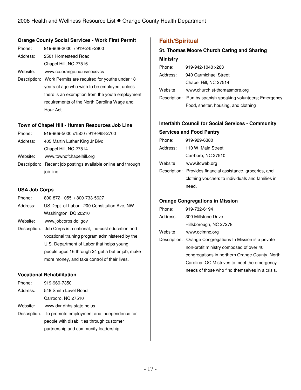under 18

### **Orange County Social Services - Work First Permit**

| Phone:   | 919-968-2000 / 919-245-2800                        |
|----------|----------------------------------------------------|
| Address: | 2501 Homestead Road                                |
|          | Chapel Hill, NC 27516                              |
| Website: | www.co.orange.nc.us/socsvcs                        |
|          | Description: Work Permits are required for youths  |
|          | and done of a company should be to the more than a |

years of age who wish to be employed, unless there is an exemption from the youth employment requirements of the North Carolina Wage and Hour Act.

#### **Town of Chapel Hill - Human Resources Job Line**

| Phone:   | 919-969-5000 x1500 / 919-968-2700 |
|----------|-----------------------------------|
| Address: | 405 Martin Luther King Jr Blvd    |
|          | Chapel Hill, NC 27514             |
| Website: | www.townofchapelhill.org          |

Description: Recent job postings available online and through iob line.

### **USA Job Corps**

| Phone:   | 800-872-1055 / 800-733-5627                 |
|----------|---------------------------------------------|
| Address: | US Dept of Labor - 200 Constitution Ave, NW |
|          | Washington, DC 20210                        |

Website: www.jobcorps.dol.gov

Description: Job Corps is a national, no-cost education and vocational training program administered by the U.S. Department of Labor that helps young people ages 16 through 24 get a better job, make more money, and take control of their lives.

### **Vocational Rehabilitation**

| Phone:   | 919-969-7350                                            |
|----------|---------------------------------------------------------|
| Address: | 548 Smith Level Road                                    |
|          | Carrboro, NC 27510                                      |
| Website: | www.dvr.dhhs.state.nc.us                                |
|          | Description: To promote employment and independence for |
|          | people with disabilities through customer               |
|          | partnership and community leadership.                   |

## **Faith/Spiritual**

| <b>St. Thomas Moore Church Caring and Sharing</b> |                                                            |
|---------------------------------------------------|------------------------------------------------------------|
| <b>Ministry</b>                                   |                                                            |
| Phone:                                            | 919-942-1040 x263                                          |
| Address:                                          | 940 Carmichael Street                                      |
|                                                   | Chapel Hill, NC 27514                                      |
| Website:                                          | www.church.st-thomasmore.org                               |
|                                                   | Description: Run by spanish-speaking volunteers; Emergency |
|                                                   | Food, shelter, housing, and clothing                       |
|                                                   |                                                            |

## **Interfaith Council for Social Services - Community**

### **Services and Food Pantry**

| Phone:   | 919-929-6380                                               |
|----------|------------------------------------------------------------|
| Address: | 110 W. Main Street                                         |
|          | Carrboro, NC 27510                                         |
| Website: | www.ifcweb.org                                             |
|          | Description: Provides financial assistance, groceries, and |
|          | clothing vouchers to individuals and families in           |
|          | need.                                                      |
|          |                                                            |

### **Orange Congregations in Mission**

| Phone:   | 919-732-6194                                              |
|----------|-----------------------------------------------------------|
| Address: | 300 Millstone Drive                                       |
|          | Hillsborough, NC 27278                                    |
| Website: | www.ocimnc.org                                            |
|          | Description: Orange Congregations In Mission is a private |
|          | non-profit ministry composed of over 40                   |
|          | congregations in northern Orange County, North            |
|          | Carolina. OCIM strives to meet the emergency              |
|          | needs of those who find themselves in a crisis.           |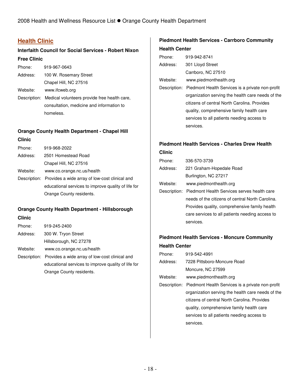## **Health Clinic**

## **Interfaith Council for Social Services - Robert Nixon Free Clinic**

| Phone:   | 919-967-0643                                              |
|----------|-----------------------------------------------------------|
| Address: | 100 W. Rosemary Street                                    |
|          | Chapel Hill, NC 27516                                     |
| Website: | www.ifcweb.org                                            |
|          | Description: Medical volunteers provide free health care, |
|          | consultation, medicine and information to                 |
|          | homeless.                                                 |

## **Orange County Health Department - Chapel Hill**

### **Clinic**

| Phone:   | 919-968-2022                                                |
|----------|-------------------------------------------------------------|
| Address: | 2501 Homestead Road                                         |
|          | Chapel Hill, NC 27516                                       |
| Website: | www.co.orange.nc.us/health                                  |
|          | Description: Provides a wide array of low-cost clinical and |
|          | educational services to improve quality of life for         |
|          | Orange County residents.                                    |

## **Orange County Health Department - Hillsborough**

## **Clinic**

| Phone:   | 919-245-2400                                                |
|----------|-------------------------------------------------------------|
| Address: | 300 W. Tryon Street                                         |
|          | Hillsborough, NC 27278                                      |
| Website: | www.co.orange.nc.us/health                                  |
|          | Description: Provides a wide array of low-cost clinical and |
|          | educational services to improve quality of life for         |
|          | Orange County residents.                                    |

## **Piedmont Health Services - Carrboro Community Health Center**

| Phone: |              | 919-942-8741                                      |
|--------|--------------|---------------------------------------------------|
|        | Address:     | 301 Lloyd Street                                  |
|        |              | Carrboro, NC 27510                                |
|        | Website:     | www.piedmonthealth.org                            |
|        | Description: | Piedmont Health Services is a private non-profit  |
|        |              | organization serving the health care needs of the |
|        |              | citizens of central North Carolina. Provides      |
|        |              | quality, comprehensive family health care         |
|        |              | services to all patients needing access to        |
|        |              | services.                                         |
|        |              |                                                   |

## **Piedmont Health Services - Charles Drew Health**

**Clinic** 

| Phone:       | 336-570-3739                                     |
|--------------|--------------------------------------------------|
| Address:     | 221 Graham-Hopedale Road                         |
|              | Burlington, NC 27217                             |
| Website:     | www.piedmonthealth.org                           |
| Description: | Piedmont Health Services serves health care      |
|              | needs of the citizens of central North Carolina. |
|              | Provides quality, comprehensive family health    |
|              | care services to all patients needing access to  |
|              | services.                                        |

## **Piedmont Health Services - Moncure Community Health Center**

| Phone:   | 919-542-4991                                                  |
|----------|---------------------------------------------------------------|
| Address: | 7228 Pittsboro-Moncure Road                                   |
|          | Moncure, NC 27599                                             |
| Website: | www.piedmonthealth.org                                        |
|          | Description: Piedmont Health Services is a private non-profit |
|          | organization serving the health care needs of the             |
|          | citizens of central North Carolina. Provides                  |
|          | quality, comprehensive family health care                     |
|          | services to all patients needing access to                    |
|          | services.                                                     |
|          |                                                               |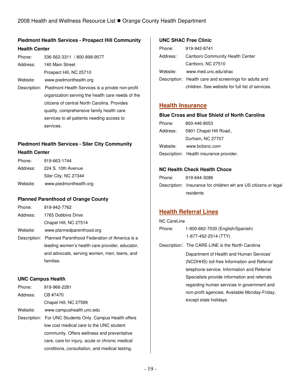## **Piedmont Health Services - Prospect Hill Community Health Center**

| Phone:   | 336-562-3311 / 800-898-9577                       |
|----------|---------------------------------------------------|
| Address: | 140 Main Street                                   |
|          | Prospect Hill, NC 25710                           |
| Website: | www.piedmonthealth.org                            |
|          | Descriptions Districted Health Departed to a pro- |

Description: Piedmont Health Services is a private non-profit organization serving the health care needs of the citizens of central North Carolina. Provides quality, comprehensive family health care services to all patients needing access to services.

## **Piedmont Health Services - Siler City Community**

### **Health Center**

| Phone:   | 919-663-1744           |
|----------|------------------------|
| Address: | 224 S. 10th Avenue     |
|          | Siler City, NC 27344   |
| Website: | www.piedmonthealth.org |

### **Planned Parenthood of Orange County**

| Phone:   | 919-942-7762              |
|----------|---------------------------|
| Address: | 1765 Dobbins Drive        |
|          | Chapel Hill, NC 27514     |
| Website: | www.plannedparenthood.org |
|          |                           |

Description: Planned Parenthood Federation of America is a leading women's health care provider, educator, and advocate, serving women, men, teens, and families.

### **UNC Campus Health**

| Phone:   | 919-966-2281                                             |
|----------|----------------------------------------------------------|
| Address: | CB #7470                                                 |
|          | Chapel Hill, NC 27599                                    |
| Website: | www.campushealth.unc.edu                                 |
|          | Description: For UNC Students Only. Campus Health offers |
|          | low cost medical care to the UNC student                 |
|          | community. Offers wellness and preventative              |
|          | care, care for injury, acute or chronic medical          |
|          | conditions, consultation, and medical testing.           |

### **UNC SHAC Free Clinic**

| Phone:   | 919-942-8741                                           |
|----------|--------------------------------------------------------|
| Address: | Carrboro Community Health Center                       |
|          | Carrboro, NC 27510                                     |
| Website: | www.med.unc.edu/shac                                   |
|          | Description: Health care and screenings for adults and |
|          | children. See website for full list of services.       |

## **Health Insurance**

### **Blue Cross and Blue Shield of North Carolina**

| Phone:   | 800-446-8053                            |
|----------|-----------------------------------------|
| Address: | 5901 Chapel Hill Road.,                 |
|          | Durham, NC 27707                        |
| Website: | www.bcbsnc.com                          |
|          | Description: Health insurance provider. |

### **NC Health Check Health Choce**

| Phone: | 919-644-3086                                                    |
|--------|-----------------------------------------------------------------|
|        | Description: Insurance for children wh are US citizens or legal |
|        | residents                                                       |

## **Health Referral Lines**

| NC CareLine                                      |  |  |
|--------------------------------------------------|--|--|
| 1-800-662-7030 (English/Spanish)                 |  |  |
| 1-877-452-2514 (TTY)                             |  |  |
| Description: The CARE-LINE is the North Carolina |  |  |
|                                                  |  |  |

Department of Health and Human Services' (NCDHHS) toll-free Information and Referral telephone service. Information and Referral Specialists provide information and referrals regarding human services in government and non-profit agencies. Available Monday-Friday, except state holidays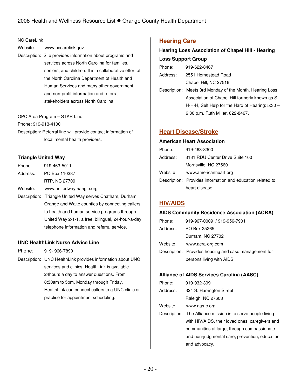#### NC CareLink

- Website: www.nccarelink.gov
- Description: Site provides information about programs and services across North Carolina for families, seniors, and children. It is a collaborative effort of the North Carolina Department of Health and Human Services and many other government and non-profit information and referral stakeholders across North Carolina.
- OPC Area Program STAR Line
- Phone: 919-913-4100
- Description: Referral line will provide contact information of local mental health providers.

### **Triangle United Way**

| Phone:   | 919-463-5011                                             |
|----------|----------------------------------------------------------|
| Address: | PO Box 110387                                            |
|          | RTP, NC 27709                                            |
| Website: | www.unitedwaytriangle.org                                |
|          | Description: Triangle United Way serves Chatham, Durham, |
|          | Orange and Wake counties by connecting callers           |
|          | to health and human service programs through             |
|          | United Way 2-1-1, a free, bilingual, 24-hour-a-day       |
|          | telephone information and referral service.              |

### **UNC HealthLink Nurse Advice Line**

- Phone: 919- 966-7890
- Description: UNC HealthLink provides information about UNC services and clinics. HealthLink is available 24hours a day to answer questions. From 8:30am to 5pm, Monday through Friday, HealthLink can connect callers to a UNC clinic or practice for appointment scheduling.

## **Hearing Care**

## **Hearing Loss Association of Chapel Hill - Hearing Loss Support Group**

| Phone:   | 919-622-8467                                             |
|----------|----------------------------------------------------------|
| Address: | 2551 Homestead Road                                      |
|          | Chapel Hill, NC 27516                                    |
|          | Description: Meets 3rd Monday of the Month. Hearing Loss |
|          | Association of Chapel Hill formerly known as S-          |
|          | $H-H-H$ , Self Help for the Hard of Hearing: 5:30 $-$    |
|          | 6:30 p.m. Ruth Miller, 622-8467.                         |
|          |                                                          |

## **Heart Disease/Stroke**

#### **American Heart Association**

| Phone:   | 919-463-8300                                               |
|----------|------------------------------------------------------------|
| Address: | 3131 RDU Center Drive Suite 100                            |
|          | Morrisville, NC 27560                                      |
| Website: | www.americanheart.org                                      |
|          | Description: Provides information and education related to |
|          | heart disease.                                             |

## **HIV/AIDS**

#### **AIDS Community Residence Association (ACRA)**

| Phone:   | 919-967-0009 / 919-956-7901                           |
|----------|-------------------------------------------------------|
| Address: | PO Box 25265                                          |
|          | Durham, NC 27702                                      |
| Website: | www.acra-org.com                                      |
|          | Description: Provides housing and case management for |
|          | persons living with AIDS.                             |

### **Alliance of AIDS Services Carolina (AASC)**

| Phone:   | 919-932-3991                                                |
|----------|-------------------------------------------------------------|
| Address: | 324 S. Harrington Street                                    |
|          | Raleigh, NC 27603                                           |
| Website: | www.aas-c.org                                               |
|          | Description: The Alliance mission is to serve people living |
|          | with HIV/AIDS, their loved ones, caregivers and             |
|          | communities at large, through compassionate                 |
|          | and non-judgmental care, prevention, education              |
|          | and advocacy.                                               |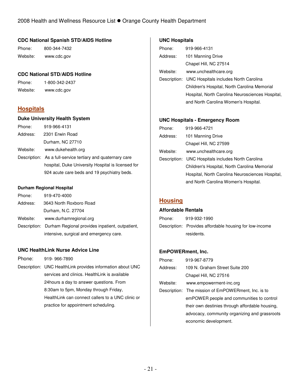### **CDC National Spanish STD/AIDS Hotline**

Phone: 800-344-7432 Website: www.cdc.gov

### **CDC National STD/AIDS Hotline**

Phone: 1-800-342-2437 Website: www.cdc.gov

## **Hospitals**

### **Duke University Health System**

| Phone:   | 919-966-4131                                                |
|----------|-------------------------------------------------------------|
| Address: | 2301 Erwin Road                                             |
|          | Durham, NC 27710                                            |
| Website: | www.dukehealth.org                                          |
|          | Description: As a full-service tertiary and quaternary care |
|          | hospital, Duke University Hospital is licensed for          |
|          | 924 acute care beds and 19 psychiatry beds.                 |
|          |                                                             |

#### **Durham Regional Hospital**

| Phone:   | 919-470-4000                                                 |
|----------|--------------------------------------------------------------|
| Address: | 3643 North Roxboro Road                                      |
|          | Durham, N.C. 27704                                           |
| Website: | www.durhamregional.org                                       |
|          | Description: Durham Regional provides inpatient, outpatient, |
|          | intensive, surgical and emergency care.                      |

### **UNC HealthLink Nurse Advice Line**

- Phone: 919- 966-7890
- Description: UNC HealthLink provides information about UNC services and clinics. HealthLink is available 24hours a day to answer questions. From 8:30am to 5pm, Monday through Friday, HealthLink can connect callers to a UNC clinic or practice for appointment scheduling.

### **UNC Hospitals**

| Phone:   | 919-966-4131                                       |
|----------|----------------------------------------------------|
| Address: | 101 Manning Drive                                  |
|          | Chapel Hill, NC 27514                              |
| Website: | www.unchealthcare.org                              |
|          | Description: UNC Hospitals includes North Carolina |
|          | Children's Hospital, North Carolina Memorial       |
|          | Hospital, North Carolina Neurosciences Hospital,   |
|          | and North Carolina Women's Hospital.               |
|          |                                                    |

### **UNC Hospitals - Emergency Room**

| Phone:   | 919-966-4721                                       |
|----------|----------------------------------------------------|
| Address: | 101 Manning Drive                                  |
|          | Chapel Hill, NC 27599                              |
| Website: | www.unchealthcare.org                              |
|          | Description: UNC Hospitals includes North Carolina |
|          | Children's Hospital, North Carolina Memorial       |
|          | Hospital, North Carolina Neurosciences Hospital,   |
|          | and North Carolina Women's Hospital.               |

## **Housing**

#### **Affordable Rentals**

| Phone: | 919-932-1990                                            |
|--------|---------------------------------------------------------|
|        | Description: Provides affordable housing for low-income |
|        | residents.                                              |

### **EmPOWERment, Inc.**

| Phone:   | 919-967-8779                                        |
|----------|-----------------------------------------------------|
| Address: | 109 N. Graham Street Suite 200                      |
|          | Chapel Hill, NC 27516                               |
| Website: | www.empowerment-inc.org                             |
|          | Description: The mission of EmPOWERment, Inc. is to |
|          | emPOWER people and communities to control           |
|          | their own destinies through affordable housing,     |
|          | advocacy, community organizing and grassroots       |
|          | economic development.                               |
|          |                                                     |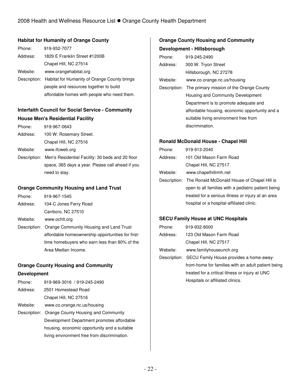### **Habitat for Humanity of Orange County**

| Phone:   | 919-932-7077                                              |
|----------|-----------------------------------------------------------|
| Address: | 1829 E Franklin Street #1200B                             |
|          | Chapel Hill, NC 27514                                     |
| Website: | www.orangehabitat.org                                     |
|          | Description: Habitat for Humanity of Orange County brings |
|          | people and resources together to build                    |
|          | affordable homes with people who need them.               |

### **Interfaith Council for Social Service - Community**

#### **House Men's Residential Facility**

| Phone:   | 919-967-0643            |
|----------|-------------------------|
| Address: | 100 W. Rosemary Street. |
|          | Chapel Hill, NC 27516   |
| Website: | www.ifcweb.org          |
|          |                         |

Description: Men's Residential Facility: 30 beds and 20 floor space, 365 days a year. Please call ahead if you need to stay.

## **Orange Community Housing and Land Trust**

| Phone:   | 919-967-1545           |
|----------|------------------------|
| Address: | 104-C Jones Ferry Road |
|          | Carrboro, NC 27510     |

Website: www.ochlt.org

Description: Orange Community Housing and Land Trust affordable homeownership opportunities for firsttime homebuyers who earn less than 80% of the Area Median Income.

### **Orange County Housing and Community**

### **Development**

| Phone:   | 919-969-3016 / 919-245-2490                      |
|----------|--------------------------------------------------|
| Address: | 2501 Homestead Road                              |
|          | Chapel Hill, NC 27516                            |
| Website: | www.co.orange.nc.us/housing                      |
|          | Description: Orange County Housing and Community |
|          | Development Department promotes affordable       |
|          | housing, economic opportunity and a suitable     |
|          | living environment free from discrimination.     |
|          |                                                  |

## **Orange County Housing and Community Development - Hillsborough**

| Phone:   | 919-245-2490                                          |  |
|----------|-------------------------------------------------------|--|
| Address: | 300 W. Tryon Street                                   |  |
|          | Hillsborough, NC 27278                                |  |
| Website: | www.co.orange.nc.us/housing                           |  |
|          | Description: The primary mission of the Orange County |  |
|          | Housing and Community Development                     |  |
|          | Department is to promote adequate and                 |  |
|          | affordable housing, economic opportunity and a        |  |
|          | suitable living environment free from                 |  |
|          | discrimination.                                       |  |

### **Ronald McDonald House - Chapel Hill**

| Phone:   | 919-913-2040                                             |  |
|----------|----------------------------------------------------------|--|
| Address: | 101 Old Mason Farm Road                                  |  |
|          | Chapel Hill, NC 27517                                    |  |
| Website: | www.chapelhillrmh.net                                    |  |
|          | Description: The Ronald McDonald House of Chapel Hill is |  |
|          | open to all families with a pediatric patient being      |  |
|          | treated for a serious illness or injury at an area       |  |
|          | hospital or a hospital-affiliated clinic.                |  |

### **SECU Family House at UNC Hospitals**

| Phone:     | 919-932-8000                                         |  |
|------------|------------------------------------------------------|--|
| Address:   | 123 Old Mason Farm Road                              |  |
|            | Chapel Hill, NC 27517                                |  |
| Website: . | www.familyhouseunch.org                              |  |
|            | Description: SECU Family House provides a home-away- |  |
|            | from-home for families with an adult patient being   |  |
|            | treated for a critical illness or injury at UNC      |  |
|            | Hospitals or affiliated clinics.                     |  |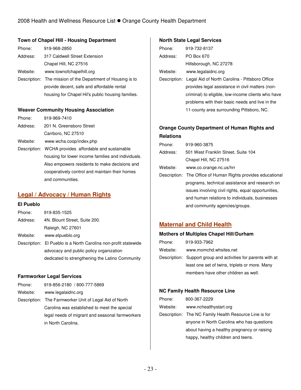### **Town of Chapel Hill - Housing Department**

| Phone:   | 919-968-2850                                                |  |
|----------|-------------------------------------------------------------|--|
| Address: | 317 Caldwell Street Extension                               |  |
|          | Chapel Hill, NC 27516                                       |  |
| Website: | www.townofchapelhill.org                                    |  |
|          | Description: The mission of the Department of Housing is to |  |
|          | provide decent, safe and affordable rental                  |  |
|          | housing for Chapel Hil's public housing families.           |  |

### **Weaver Community Housing Association**

| Phone:   | 919-969-7410                                          |  |
|----------|-------------------------------------------------------|--|
| Address: | 201 N. Greensboro Street                              |  |
|          | Carrboro, NC 27510                                    |  |
| Website: | www.wcha.coop/index.php                               |  |
|          | Description: WCHA provides affordable and sustainable |  |
|          | housing for lower income families and individuals.    |  |
|          | Also empowers residents to make decisions and         |  |
|          | cooperatively control and maintain their homes        |  |
|          | and communities.                                      |  |

## **Legal / Advocacy / Human Rights**

### **El Pueblo**

| Phone:   | 919-835-1525                                                    |  |
|----------|-----------------------------------------------------------------|--|
| Address: | 4N. Blount Street, Suite 200.                                   |  |
|          | Raleigh, NC 27601                                               |  |
| Website: | www.elpueblo.org                                                |  |
|          | Description: El Pueblo is a North Carolina non-profit statewide |  |
|          | advocacy and public policy organization                         |  |
|          | dedicated to strengthening the Latino Community                 |  |
|          |                                                                 |  |

### **Farmworker Legal Services**

| Phone: | 919-856-2180 / 800-777-5869 |
|--------|-----------------------------|
|        |                             |

Website: www.legalaidnc.org

Description: The Farmworker Unit of Legal Aid of North Carolina was established to meet the special legal needs of migrant and seasonal farmworkers in North Carolina.

### **North State Legal Services**

| Phone:   | 919-732-8137                                                |  |
|----------|-------------------------------------------------------------|--|
| Address: | PO Box 670                                                  |  |
|          | Hillsborough, NC 27278                                      |  |
| Website: | www.legalaidnc.org                                          |  |
|          | Description: Legal Aid of North Carolina - Pittsboro Office |  |
|          | provides legal assistance in civil matters (non-            |  |
|          | criminal) to eligible, low-income clients who have          |  |
|          | problems with their basic needs and live in the             |  |
|          | 11-county area surrounding Pittsboro, NC.                   |  |
|          |                                                             |  |

## **Orange County Department of Human Rights and Relations**

| Phone:   | 919-960-3875                                                 |  |
|----------|--------------------------------------------------------------|--|
| Address: | 501 West Franklin Street, Suite 104                          |  |
|          | Chapel Hill, NC 27516                                        |  |
| Website: | www.co.orange.nc.us/hrr                                      |  |
|          | Description: The Office of Human Rights provides educational |  |
|          | programs, technical assistance and research on               |  |
|          | issues involving civil rights, equal opportunities,          |  |
|          | and human relations to individuals, businesses               |  |
|          | and community agencies/groups.                               |  |

## **Maternal and Child Health**

### **Mothers of Multiples Chapel Hill/Durham**

| Phone:   | 919-933-7962                                                  |  |
|----------|---------------------------------------------------------------|--|
| Website: | www.momchd.whsites.net                                        |  |
|          | Description: Support group and activities for parents with at |  |
|          | least one set of twins, triplets or more. Many                |  |
|          | members have other children as well.                          |  |

### **NC Family Health Resource Line**

| Phone:   | 800-367-2229                                           |  |
|----------|--------------------------------------------------------|--|
| Website: | www.nchealthystart.org                                 |  |
|          | Description: The NC Family Health Resource Line is for |  |
|          | anyone in North Carolina who has questions             |  |
|          | about having a healthy pregnancy or raising            |  |
|          | happy, healthy children and teens.                     |  |
|          |                                                        |  |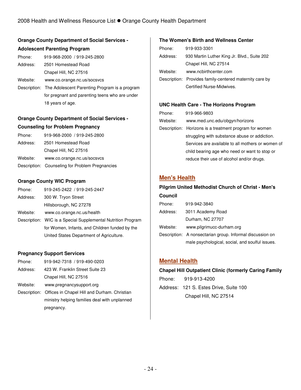## **Orange County Department of Social Services -**

## **Adolescent Parenting Program**

| Phone: | 919-968-2000 / 919-245-2800 |
|--------|-----------------------------|
|        |                             |

Address: 2501 Homestead Road Chapel Hill, NC 27516

Website: www.co.orange.nc.us/socsvcs

Description: The Adolescent Parenting Program is a program for pregnant and parenting teens who are under 18 years of age.

## **Orange County Department of Social Services -**

### **Counseling for Problem Pregnancy**

| Phone:   | 919-968-2000 / 919-245-2800                     |
|----------|-------------------------------------------------|
| Address: | 2501 Homestead Road                             |
|          | Chapel Hill, NC 27516                           |
| Website: | www.co.orange.nc.us/socsvcs                     |
|          | Description: Counseling for Problem Pregnancies |

## **Orange County WIC Program**

| Phone:   | 919-245-2422 / 919-245-2447                                  |
|----------|--------------------------------------------------------------|
| Address: | 300 W. Tryon Street                                          |
|          | Hillsborough, NC 27278                                       |
| Website: | www.co.orange.nc.us/health                                   |
|          | Description: WIC is a Special Supplemental Nutrition Program |
|          | for Women, Infants, and Children funded by the               |
|          | United States Department of Agriculture.                     |

### **Pregnancy Support Services**

- Phone: 919-942-7318 / 919-490-0203
- Address: 423 W. Franklin Street Suite 23

Chapel Hill, NC 27516

- Website: www.pregnancysupport.org
- Description: Offices in Chapel Hill and Durham. Christian ministry helping families deal with unplanned pregnancy.

### **The Women's Birth and Wellness Center**

| Phone:   | 919-933-3301                                            |
|----------|---------------------------------------------------------|
| Address: | 930 Martin Luther King Jr. Blvd., Suite 202             |
|          | Chapel Hill, NC 27514                                   |
| Website: | www.ncbirthcenter.com                                   |
|          | Description: Provides family-centered maternity care by |
|          | Certified Nurse-Midwives.                               |

### **UNC Health Care - The Horizons Program**

| Phone:   | 919-966-9803                                           |
|----------|--------------------------------------------------------|
| Website: | www.med.unc.edu/obgyn/horizons                         |
|          | Description: Horizons is a treatment program for women |
|          | struggling with substance abuse or addiction.          |
|          | Services are available to all mothers or women of      |
|          | child bearing age who need or want to stop or          |
|          | reduce their use of alcohol and/or drugs.              |

## **Men's Health**

**Council** 

## **Pilgrim United Methodist Church of Christ - Men's**

| <b>COUNCH</b> |                                                           |
|---------------|-----------------------------------------------------------|
| Phone:        | 919-942-3840                                              |
| Address:      | 3011 Academy Road                                         |
|               | Durham, NC 27707                                          |
| Website:      | www.pilgrimucc-durham.org                                 |
|               | Description: A nonsectarian group. Informal discussion on |
|               | male psychological, social, and soulful issues.           |

## **Mental Health**

### **Chapel Hill Outpatient Clinic (formerly Caring Family**

Phone: 919-913-4200 Address: 121 S. Estes Drive, Suite 100 Chapel Hill, NC 27514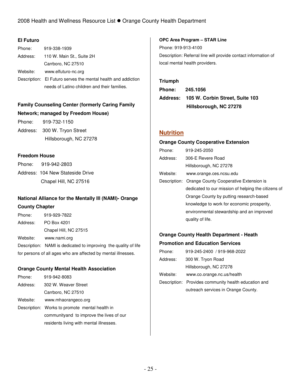### **El Futuro**

| Phone:   | 919-338-1939                                                  |
|----------|---------------------------------------------------------------|
| Address: | 110 W. Main St., Suite 2H                                     |
|          | Carrboro, NC 27510                                            |
| Website: | www.elfuturo-nc.org                                           |
|          | Description: El Futuro serves the mental health and addiction |
|          | needs of Latino children and their families.                  |

## **Family Counseling Center (formerly Caring Family Network; managed by Freedom House)**

Phone: 919-732-1150 Address: 300 W. Tryon Street

Hillsborough, NC 27278

### **Freedom House**

| Phone: 919-942-2803              |
|----------------------------------|
| Address: 104 New Stateside Drive |
| Chapel Hill, NC 27516            |

## **National Alliance for the Mentally Ill (NAMI)- Orange**

### **County Chapter**

| Phone:                                                        | 919-929-7822                                                    |
|---------------------------------------------------------------|-----------------------------------------------------------------|
| Address:                                                      | PO Box 4201                                                     |
|                                                               | Chapel Hill, NC 27515                                           |
| Website:                                                      | www.nami.org                                                    |
|                                                               | Description: NAMI is dedicated to improving the quality of life |
| for persons of all ages who are affected by mental illnesses. |                                                                 |

### **Orange County Mental Health Association**

| Phone:   | 919-942-8083                                   |
|----------|------------------------------------------------|
| Address: | 302 W. Weaver Street                           |
|          | Carrboro, NC 27510                             |
| Website: | www.mhaorangeco.org                            |
|          | Description: Works to promote mental health in |
|          | communityand to improve the lives of our       |
|          | residents living with mental illnesses.        |

# **OPC Area Program – STAR Line**  Phone: 919-913-4100

Description: Referral line will provide contact information of local mental health providers.

### **Triumph**

**Phone: 245.1056 Address: 105 W. Corbin Street, Suite 103 Hillsborough, NC 27278** 

## **Nutrition**

### **Orange County Cooperative Extension**

| Phone:   | 919-245-2050                                        |
|----------|-----------------------------------------------------|
| Address: | 306-E Revere Road                                   |
|          | Hillsborough, NC 27278                              |
| Website: | www.orange.ces.ncsu.edu                             |
|          | Description: Orange County Cooperative Extension is |
|          | dedicated to our mission of helping the citizens of |
|          | Orange County by putting research-based             |
|          | knowledge to work for economic prosperity,          |
|          | environmental stewardship and an improved           |
|          | quality of life.                                    |

## **Orange County Health Department - Heath Promotion and Education Services**

| Phone:   | 919-245-2400 / 919-968-2022                          |
|----------|------------------------------------------------------|
| Address: | 300 W. Tryon Road                                    |
|          | Hillsborough, NC 27278                               |
| Website: | www.co.orange.nc.us/health                           |
|          | Description: Provides community health education and |
|          | outreach services in Orange County.                  |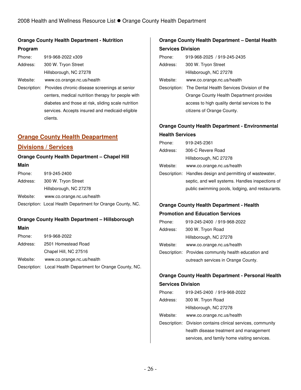## **Orange County Health Department - Nutrition**

### **Program**

| Phone:   | 919-968-2022 x309          |
|----------|----------------------------|
| Address: | 300 W. Tryon Street        |
|          | Hillsborough, NC 27278     |
| Website: | www.co.orange.nc.us/health |
|          |                            |

Description: Provides chronic disease screenings at senior centers, medical nutrition therapy for people with diabetes and those at risk, sliding scale nutrition services. Accepts insured and medicaid-eligible clients.

## **Orange County Health Deapartment**

## **Divisions / Services**

## **Orange County Health Department – Chapel Hill**

### **Main**

| Phone:   | 919-245-2400                                                |
|----------|-------------------------------------------------------------|
| Address: | 300 W. Tryon Street                                         |
|          | Hillsborough, NC 27278                                      |
| Website: | www.co.orange.nc.us/health                                  |
|          | Description: Local Health Department for Orange County, NC. |

### **Orange County Health Department – Hillsborough**

### **Main**

| Phone:   | 919-968-2022                                                |
|----------|-------------------------------------------------------------|
| Address: | 2501 Homestead Road                                         |
|          | Chapel Hill, NC 27516                                       |
| Website: | www.co.orange.nc.us/health                                  |
|          | Description: Local Health Department for Orange County, NC. |

## **Orange County Health Department – Dental Health Services Division**

| Phone:   | 919-968-2025 / 919-245-2435                             |
|----------|---------------------------------------------------------|
| Address: | 300 W. Tryon Street                                     |
|          | Hillsborough, NC 27278                                  |
| Website: | www.co.orange.nc.us/health                              |
|          | Description: The Dental Health Services Division of the |
|          | Orange County Health Department provides                |
|          | access to high quality dental services to the           |
|          | citizens of Orange County.                              |

## **Orange County Health Department - Environmental Health Services**

| Phone:   | 919-245-2361                                              |
|----------|-----------------------------------------------------------|
| Address: | 306-C Revere Road                                         |
|          | Hillsborough, NC 27278                                    |
| Website: | www.co.orange.nc.us/health                                |
|          | Description: Handles design and permitting of wastewater, |
|          | septic, and well systems. Handles inspections of          |
|          | public swimming pools, lodging, and restaurants.          |

## **Orange County Health Department - Health**

### **Promotion and Education Services**

| Phone:   | 919-245-2400 / 919-968-2022                          |
|----------|------------------------------------------------------|
| Address: | 300 W. Tryon Road                                    |
|          | Hillsborough, NC 27278                               |
| Website: | www.co.orange.nc.us/health                           |
|          | Description: Provides community health education and |
|          | outreach services in Orange County.                  |

## **Orange County Health Department - Personal Health Services Division**

| Phone:   | 919-245-2400 / 919-968-2022                                 |
|----------|-------------------------------------------------------------|
| Address: | 300 W. Tryon Road                                           |
|          | Hillsborough, NC 27278                                      |
| Website: | www.co.orange.nc.us/health                                  |
|          | Description: Division contains clinical services, community |
|          | health disease treatment and management                     |
|          | services, and family home visiting services.                |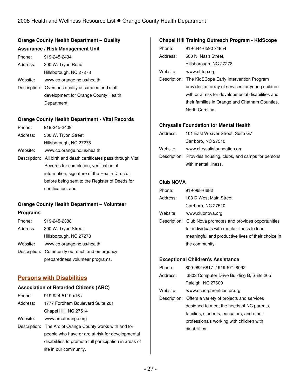## **Orange County Health Department – Quality Assurance / Risk Management Unit**

| Phone:   | 919-245-2434                                      |
|----------|---------------------------------------------------|
| Address: | 300 W. Tryon Road                                 |
|          | Hillsborough, NC 27278                            |
| Website: | www.co.orange.nc.us/health                        |
|          | Description: Oversees quality assurance and staff |
|          | development for Orange County Health              |
|          | Department.                                       |

### **Orange County Health Department - Vital Records**

| Phone:   | 919-245-2409                                                     |
|----------|------------------------------------------------------------------|
| Address: | 300 W. Tryon Street                                              |
|          | Hillsborough, NC 27278                                           |
| Website: | www.co.orange.nc.us/health                                       |
|          | Description: All birth and death certificates pass through Vital |
|          | Records for completion, verification of                          |
|          | information, signature of the Health Director                    |
|          | before being sent to the Register of Deeds for                   |
|          | certification, and                                               |

## **Orange County Health Department – Volunteer**

### **Programs**

| Phone:   | 919-245-2388                                  |
|----------|-----------------------------------------------|
| Address: | 300 W. Tryon Street                           |
|          | Hillsborough, NC 27278                        |
| Website: | www.co.orange.nc.us/health                    |
|          | Description: Community outreach and emergency |
|          | preparedness volunteer programs.              |

## **Persons with Disabilities**

### **Association of Retarded Citizens (ARC)**

| Phone:   | 919-924-5119 x16 /                                       |
|----------|----------------------------------------------------------|
| Address: | 1777 Fordham Boulevard Suite 201                         |
|          | Chapel Hill, NC 27514                                    |
| Website: | www.arcoforange.org                                      |
|          | Description: The Arc of Orange County works with and for |
|          | people who have or are at risk for developmental         |
|          | disabilities to promote full participation in areas of   |
|          | life in our community.                                   |

## **Chapel Hill Training Outreach Program - KidScope**

| Phone:   | 919-644-6590 x4854     |
|----------|------------------------|
| Address: | 500 N. Nash Street.    |
|          | Hillsborough, NC 27278 |
| Website: | www.chtop.org          |

Description: The KidSCope Early Intervention Program provides an array of services for young children with or at risk for developmental disabilities and their families in Orange and Chatham Counties, North Carolina.

### **Chrysalis Foundation for Mental Health**

| Address: | 101 East Weaver Street, Suite G7                            |  |
|----------|-------------------------------------------------------------|--|
|          | Carrboro, NC 27510                                          |  |
| Website: | www.chrysalisfoundation.org                                 |  |
|          | Description: Provides housing, clubs, and camps for persons |  |
|          | with mental illness.                                        |  |

### **Club NOVA**

| Phone:   | 919-968-6682                                               |
|----------|------------------------------------------------------------|
| Address: | 103 D West Main Street                                     |
|          | Carrboro, NC 27510                                         |
| Website: | www.clubnova.org                                           |
|          | Description: Club Nova promotes and provides opportunities |
|          | for individuals with mental illness to lead                |
|          | meaningful and productive lives of their choice in         |
|          | the community.                                             |
|          |                                                            |

### **Exceptional Children's Assistance**

| Phone:   | 800-962-6817 / 919-571-8092                            |
|----------|--------------------------------------------------------|
| Address: | 3803 Computer Drive Building B, Suite 205              |
|          | Raleigh, NC 27609                                      |
| Website: | www.ecac-parentcenter.org                              |
|          | Description: Offers a variety of projects and services |
|          | designed to meet the needs of NC parents,              |
|          | families, students, educators, and other               |
|          | professionals working with children with               |
|          | disabilities.                                          |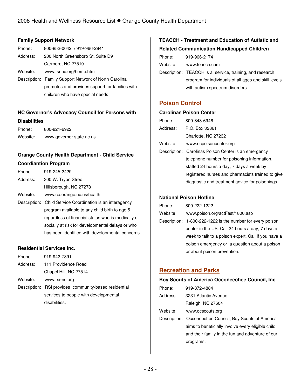### **Family Support Network**

| Phone:   | 800-852-0042 / 919-966-2841                           |
|----------|-------------------------------------------------------|
| Address: | 200 North Greensboro St, Suite D9                     |
|          | Carrboro, NC 27510                                    |
| Website: | www.fsnnc.org/home.htm                                |
|          | Description: Family Support Network of North Carolina |
|          | promotes and provides support for families with       |
|          | children who have special needs                       |

## **NC Governor's Advocacy Council for Persons with Disabilities**

| Phone:   | 800-821-6922             |
|----------|--------------------------|
| Website: | www.governor.state.nc.us |

## **Orange County Health Department - Child Service Coordiantion Program**

| Phone:   | 919-245-2429                                              |
|----------|-----------------------------------------------------------|
| Address: | 300 W. Tryon Street                                       |
|          | Hillsborough, NC 27278                                    |
| Website: | www.co.orange.nc.us/health                                |
|          | Description: Child Service Coordination is an interagency |
|          | program available to any child birth to age 5             |
|          | regardless of financial status who is medically or        |
|          | socially at risk for developmental delays or who          |
|          | has been identified with developmental concerns.          |
|          |                                                           |

### **Residential Services Inc.**

| Phone:   | 919-942-7391                                          |
|----------|-------------------------------------------------------|
| Address: | 111 Providence Road                                   |
|          | Chapel Hill, NC 27514                                 |
| Website: | www.rsi-nc.org                                        |
|          | Description: RSI provides community-based residential |
|          | services to people with developmental                 |
|          | disabilities.                                         |

## **TEACCH - Treatment and Education of Autistic and Related Communication Handicapped Children**

| Phone:   | 919-966-2174                                             |
|----------|----------------------------------------------------------|
| Website: | www.teacch.com                                           |
|          | Description: TEACCH is a service, training, and research |
|          | program for individuals of all ages and skill levels     |
|          | with autism spectrum disorders.                          |

## **Poison Control**

## **Carolinas Poison Center**  Phone: 800-848-6946

| Address: | P.O. Box 32861                                       |
|----------|------------------------------------------------------|
|          | Charlotte, NC 27232                                  |
| Website: | www.ncpoisoncenter.org                               |
|          | Description: Carolinas Poison Center is an emergency |
|          | telephone number for poisoning information,          |
|          | staffed 24 hours a day, 7 days a week by             |
|          | registered nurses and pharmacists trained to give    |
|          | diagnostic and treatment advice for poisonings.      |

### **National Poison Hotline**

| Phone:   | 800-222-1222                                               |
|----------|------------------------------------------------------------|
| Website: | www.poison.org/actFast/1800.asp                            |
|          | Description: 1-800-222-1222 is the number for every poison |
|          | center in the US. Call 24 hours a day, 7 days a            |
|          | week to talk to a poison expert. Call if you have a        |
|          | poison emergency or a question about a poison              |
|          | or about poison prevention.                                |

## **Recreation and Parks**

#### **Boy Scouts of America Occoneechee Council, Inc**

| Phone:   | 919-872-4884                                            |
|----------|---------------------------------------------------------|
| Address: | 3231 Atlantic Avenue                                    |
|          | Raleigh, NC 27604                                       |
| Website: | www.ocscouts.org                                        |
|          | Description: Occoneechee Council, Boy Scouts of America |
|          | aims to beneficially involve every eligible child       |
|          | and their family in the fun and adventure of our        |
|          | programs.                                               |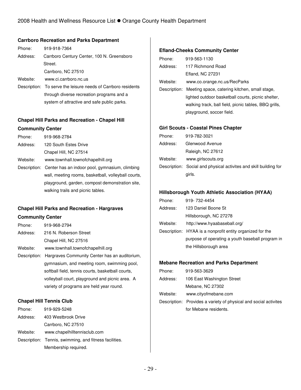### **Carrboro Recreation and Parks Department**

| Phone:   | 919-918-7364                                                  |
|----------|---------------------------------------------------------------|
| Address: | Carrboro Century Center, 100 N. Greensboro                    |
|          | Street.                                                       |
|          | Carrboro, NC 27510                                            |
| Website: | www.ci.carrboro.nc.us                                         |
|          | Description: To serve the leisure needs of Carrboro residents |
|          | through diverse recreation programs and a                     |
|          | system of attractive and safe public parks.                   |

## **Chapel Hill Parks and Recreation - Chapel Hill Community Center**

| Phone:   | 919-968-2784                                     |
|----------|--------------------------------------------------|
| Address: | 120 South Estes Drive                            |
|          | Chapel Hill, NC 27514                            |
| Website: | www.townhall.townofchapelhill.org                |
|          | Deparintion: Contar has an indeer neal aumnonium |

Description: Center has an indoor pool, gymnasium, climbing wall, meeting rooms, basketball, volleyball courts, playground, garden, compost demonstration site, walking trails and picnic tables.

# **Chapel Hill Parks and Recreation - Hargraves**

### **Community Center**

| Phone:       | 919-968-2794                                      |
|--------------|---------------------------------------------------|
| Address:     | 216 N. Roberson Street                            |
|              | Chapel Hill, NC 27516                             |
| Website:     | www.townhall.townofchapelhill.org                 |
| Description: | Hargraves Community Center has an auditorium,     |
|              | gymnasium, and meeting room, swimming pool,       |
|              | softball field, tennis courts, basketball courts, |
|              | volleyball court, playground and picnic area. A   |
|              | variety of programs are held year round.          |

### **Chapel Hill Tennis Club**

| Phone:   | 919-929-5248                                           |
|----------|--------------------------------------------------------|
| Address: | 403 Westbrook Drive                                    |
|          | Carrboro, NC 27510                                     |
| Website: | www.chapelhilltennisclub.com                           |
|          | Description: Tennis, swimming, and fitness facilities. |
|          | Membership required.                                   |

### **Efland-Cheeks Community Center**

| Phone:   | 919-563-1130                                               |
|----------|------------------------------------------------------------|
| Address: | 117 Richmond Road                                          |
|          | Efland, NC 27231                                           |
| Website: | www.co.orange.nc.us/RecParks                               |
|          | Description: Meeting space, catering kitchen, small stage, |
|          | lighted outdoor basketball courts, picnic shelter,         |
|          | walking track, ball field, picnic tables, BBQ grills,      |
|          | playground, soccer field.                                  |
|          |                                                            |

### **Girl Scouts - Coastal Pines Chapter**

| Phone:   | 919-782-3021                                                      |
|----------|-------------------------------------------------------------------|
| Address: | Glenwood Avenue                                                   |
|          | Raleigh, NC 27612                                                 |
| Website: | www.girlscouts.org                                                |
|          | Description: Social and physical activites and skill building for |
|          | girls.                                                            |

## **Hillsborough Youth Athletic Association (HYAA)**

| Phone:   | 919-732-4454                                              |
|----------|-----------------------------------------------------------|
| Address: | 123 Daniel Boone St                                       |
|          | Hillsborough, NC 27278                                    |
| Website: | http://www.hyaabaseball.org/                              |
|          | Description: HYAA is a nonprofit entity organized for the |
|          | purpose of operating a youth baseball program in          |
|          | the Hillsborough area                                     |

#### **Mebane Recreation and Parks Department**

| Phone:   | 919-563-3629                                                     |
|----------|------------------------------------------------------------------|
| Address: | 106 East Washington Street                                       |
|          | Mebane, NC 27302                                                 |
| Website: | www.cityofmebane.com                                             |
|          | Description: Provides a variety of physical and social activites |
|          | for Mebane residents.                                            |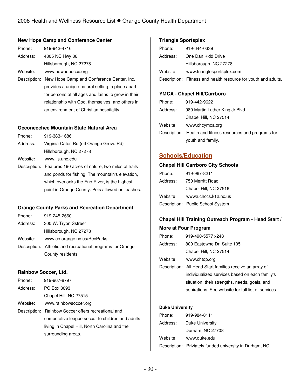### **New Hope Camp and Conference Center**

| Phone:   | 919-942-4716           |
|----------|------------------------|
| Address: | 4805 NC Hwy 86         |
|          | Hillsborough, NC 27278 |
| Website: | www.newhopeccc.org     |

Description: New Hope Camp and Conference Center, Inc. provides a unique natural setting, a place apart for persons of all ages and faiths to grow in their relationship with God, themselves, and others in an environment of Christian hospitality.

#### **Occoneechee Mountain State Natural Area**

| Phone:   | 919-383-1686                                                   |
|----------|----------------------------------------------------------------|
| Address: | Virginia Cates Rd (off Orange Grove Rd)                        |
|          | Hillsborough, NC 27278                                         |
| Website: | www.ils.unc.edu                                                |
|          | Description: Features 190 acres of nature, two miles of trails |

and ponds for fishing. The mountain's elevation, which overlooks the Eno River, is the highest point in Orange County. Pets allowed on leashes.

### **Orange County Parks and Recreation Department**

| Phone:   | 919-245-2660                                               |
|----------|------------------------------------------------------------|
| Address: | 300 W. Tryon Sstreet                                       |
|          | Hillsborough, NC 27278                                     |
| Website: | www.co.orange.nc.us/RecParks                               |
|          | Description: Athletic and recreational programs for Orange |
|          | County residents.                                          |

### **Rainbow Soccer, Ltd.**

| Phone:   | 919-967-8797                                        |
|----------|-----------------------------------------------------|
| Address: | PO Box 3093                                         |
|          | Chapel Hill, NC 27515                               |
| Website: | www.rainbowsoccer.org                               |
|          | Description: Rainbow Soccer offers recreational and |
|          | competetive league soccer to children and adults    |
|          | living in Chapel Hill, North Carolina and the       |
|          | surrounding areas.                                  |

### **Triangle Sportsplex**

| Phone:   | 919-644-0339                                                   |
|----------|----------------------------------------------------------------|
| Address: | One Dan Kidd Drive                                             |
|          | Hillsborough, NC 27278                                         |
| Website: | www.trianglesportsplex.com                                     |
|          | Description: Fitness and health resource for youth and adults. |

### **YMCA - Chapel Hill/Carrboro**

| Phone:   | 919-442-9622                                               |
|----------|------------------------------------------------------------|
| Address: | 980 Martin Luther King Jr Blvd                             |
|          | Chapel Hill, NC 27514                                      |
| Website: | www.chcymca.org                                            |
|          | Description: Health and fitness resources and programs for |
|          | youth and family.                                          |

## **Schools/Education**

#### **Chapel Hill Carrboro City Schools**

| Phone:   | 919-967-8211                      |
|----------|-----------------------------------|
| Address: | 750 Merritt Road                  |
|          | Chapel Hill, NC 27516             |
| Website: | www2.chccs.k12.nc.us              |
|          | Description: Public School System |

## **Chapel Hill Training Outreach Program - Head Start / More at Four Program**

| Phone:   | 919-490-5577 x248                                        |
|----------|----------------------------------------------------------|
| Address: | 800 Eastowne Dr. Suite 105                               |
|          | Chapel Hill, NC 27514                                    |
| Website: | www.chtop.org                                            |
|          | Description: All Head Start families receive an array of |
|          | individualized services based on each family's           |
|          | situation: their strengths, needs, goals, and            |
|          | aspirations. See website for full list of services.      |

#### **Duke University**

| Phone:   | 919-984-8111                                             |
|----------|----------------------------------------------------------|
| Address: | Duke University                                          |
|          | Durham, NC 27708                                         |
| Website: | www.duke.edu                                             |
|          | Description: Priviately funded university in Durham, NC. |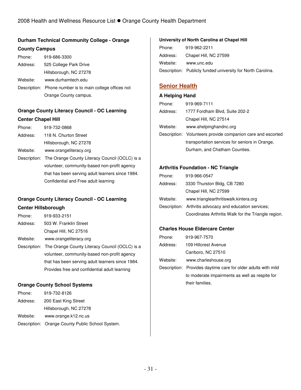## **Durham Technical Community College - Orange County Campus**

| Phone:   | 919-686-3300                                             |
|----------|----------------------------------------------------------|
| Address: | 525 College Park Drive                                   |
|          | Hillsborough, NC 27278                                   |
| Website: | www.durhamtech.edu                                       |
|          | Description: Phone number is to main college offices not |
|          | Orange County campus.                                    |

## **Orange County Literacy Council - OC Learning Center Chapel Hill**

| Phone:   | 919-732-0868                                                |
|----------|-------------------------------------------------------------|
| Address: | 118 N. Churton Street                                       |
|          | Hillsborough, NC 27278                                      |
| Website: | www.orangeliteracy.org                                      |
|          | Description: The Orange County Literacy Council (OCLC) is a |
|          | volunteer, community-based non-profit agency                |
|          | that has been serving adult learners aines 1004             |

that has been serving adult learners since 1984. Confidential and Free adult learning

## **Orange County Literacy Council - OC Learning**

### **Center Hillsborough**

| Phone:   | 919-933-2151                                                |
|----------|-------------------------------------------------------------|
| Address: | 503 W. Franklin Street                                      |
|          | Chapel Hill, NC 27516                                       |
| Website: | www.orangeliteracy.org                                      |
|          | Description: The Orange County Literacy Council (OCLC) is a |
|          | volunteer, community-based non-profit agency                |
|          | that has been serving adult learners since 1984.            |
|          | Provides free and confidential adult learning               |

### **Orange County School Systems**

| Phone:   | 919-732-8126                                     |
|----------|--------------------------------------------------|
| Address: | 200 East King Street                             |
|          | Hillsborough, NC 27278                           |
| Website: | www.orange.k12.nc.us                             |
|          | Description: Orange County Public School System. |

#### **University of North Carolina at Chapel Hill**

| Phone:   | 919-962-2211                                                |
|----------|-------------------------------------------------------------|
| Address: | Chapel Hill, NC 27599                                       |
| Website: | www.unc.edu                                                 |
|          | Description: Publicly funded university for North Carolina. |

## **Senior Health**

### **A Helping Hand**

| Phone:   | 919-969-7111                                                |
|----------|-------------------------------------------------------------|
| Address: | 1777 Fordham Blvd, Suite 202-2                              |
|          | Chapel Hill, NC 27514                                       |
| Website: | www.ahelpinghandnc.org                                      |
|          | Description: Volunteers provide companion care and escorted |
|          | transportation services for seniors in Orange,              |
|          | Durham, and Chatham Counties.                               |

### **Arthritis Foundation - NC Triangle**

| Phone:   | 919-966-0547                                            |
|----------|---------------------------------------------------------|
| Address: | 3330 Thurston Bldg, CB 7280                             |
|          | Chapel Hill, NC 27599                                   |
| Website: | www.trianglearthritiswalk.kintera.org                   |
|          | Description: Arthritis advocacy and education services; |
|          | Coordinates Arthritis Walk for the Triangle region.     |

### **Charles House Eldercare Center**

| 919-967-7570                                                  |
|---------------------------------------------------------------|
| 109 Hillcrest Avenue                                          |
| Carrboro, NC 27510                                            |
| www.charleshouse.org                                          |
| Description: Provides daytime care for older adults with mild |
| to moderate impairments as well as respite for                |
| their families.                                               |
|                                                               |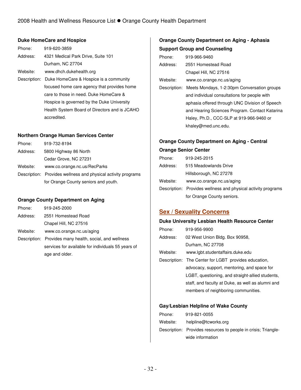### **Duke HomeCare and Hospice**

| Phone:   | 919-620-3859                                        |
|----------|-----------------------------------------------------|
| Address: | 4321 Medical Park Drive, Suite 101                  |
|          | Durham, NC 27704                                    |
| Website: | www.dhch.dukehealth.org                             |
|          | Description: Duke HomeCare & Hospice is a community |
|          | focused home care agency that provides home         |
|          | care to those in need. Duke HomeCare &              |
|          | Hospice is governed by the Duke University          |
|          | Health System Board of Directors and is JCAHO       |
|          | accredited.                                         |

### **Northern Orange Human Services Center**

| Phone:   | 919-732-8194                                                  |
|----------|---------------------------------------------------------------|
| Address: | 5800 Highway 86 North                                         |
|          | Cedar Grove, NC 27231                                         |
| Website: | www.co.orange.nc.us/RecParks                                  |
|          | Description: Provides wellness and physical activity programs |
|          | for Orange County seniors and youth.                          |

### **Orange County Department on Aging**

| Phone:   | 919-245-2000                                            |
|----------|---------------------------------------------------------|
| Address: | 2551 Homestead Road                                     |
|          | Chapel Hill, NC 27516                                   |
| Website: | www.co.orange.nc.us/aging                               |
|          | Description: Provides many health, social, and wellness |
|          | services for available for individuals 55 years of      |
|          | age and older.                                          |

## **Orange County Department on Aging - Aphasia Support Group and Counseling**

| Phone:   | 919-966-9460                                             |
|----------|----------------------------------------------------------|
| Address: | 2551 Homestead Road                                      |
|          | Chapel Hill, NC 27516                                    |
| Website: | www.co.orange.nc.us/aging                                |
|          | Description: Meets Mondays, 1-2:30pm Conversation groups |
|          | and individual consultations for people with             |
|          | aphasia offered through UNC Division of Speech           |
|          | and Hearing Sciences Program. Contact Katarina           |
|          | Haley, Ph.D., CCC-SLP at 919-966-9460 or                 |
|          | khaley@med.unc.edu.                                      |

## **Orange County Department on Aging - Central**

#### **Orange Senior Center**

| Phone:   | 919-245-2015                                                  |
|----------|---------------------------------------------------------------|
| Address: | 515 Meadowlands Drive                                         |
|          | Hillsborough, NC 27278                                        |
| Website: | www.co.orange.nc.us/aging                                     |
|          | Description: Provides wellness and physical activity programs |
|          | for Orange County seniors.                                    |

## **Sex / Sexuality Concerns**

#### **Duke University Lesbian Health Resource Center**

| Phone:   | 919-956-9900                                         |
|----------|------------------------------------------------------|
| Address: | 02 West Union Bldg. Box 90958,                       |
|          | Durham, NC 27708                                     |
| Website: | www.lgbt.studentaffairs.duke.edu                     |
|          | Description: The Center for LGBT provides education, |
|          | advocacy, support, mentoring, and space for          |
|          | LGBT, questioning, and straight-allied students,     |
|          | staff, and faculty at Duke, as well as alumni and    |
|          | members of neighboring communities.                  |

### **Gay/Lesbian Helpline of Wake County**

| Phone:   | 919-821-0055                                                   |
|----------|----------------------------------------------------------------|
| Website: | helpline@tcworks.org                                           |
|          | Description: Provides resources to people in crisis; Triangle- |
|          | wide information                                               |
|          |                                                                |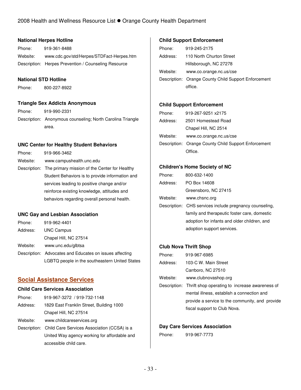### **National Herpes Hotline**

Phone: 919-361-8488 Website: www.cdc.gov/std/Herpes/STDFact-Herpes.htm Description: Herpes Prevention / Counseling Resource

### **National STD Hotline**

Phone: 800-227-8922

### **Triangle Sex Addicts Anonymous**

Phone: 919-990-2331 Description: Anonymous counseling; North Carolina Triangle area.

### **UNC Center for Healthy Student Behaviors**

| Phone:   | 919-966-3462                                               |
|----------|------------------------------------------------------------|
| Website: | www.campushealth.unc.edu                                   |
|          | Description: The primary mission of the Center for Healthy |
|          | Student Behaviors is to provide information and            |
|          | services leading to positive change and/or                 |
|          | reinforce existing knowledge, attitudes and                |
|          | behaviors regarding overall personal health.               |

### **UNC Gay and Lesbian Association**

| Phone:   | 919-962-4401                                            |
|----------|---------------------------------------------------------|
| Address: | <b>UNC Campus</b>                                       |
|          | Chapel Hill, NC 27514                                   |
| Website: | www.unc.edu/glbtsa                                      |
|          | Description: Advocates and Educates on issues affecting |
|          | LGBTQ people in the southeastern United States          |

## **Social Assistance Services**

#### **Child Care Services Association**

| Phone:   | 919-967-3272 / 919-732-1148              |
|----------|------------------------------------------|
| Address: | 1829 East Franklin Street, Building 1000 |
|          | Chapel Hill, NC 27514                    |

Website: www.childcareservices.org

Description: Child Care Services Association (CCSA) is a United Way agency working for affordable and accessible child care.

### **Child Support Enforcement**

| Phone:   | 919-245-2175                                         |
|----------|------------------------------------------------------|
| Address: | 110 North Churton Street                             |
|          | Hillsborough, NC 27278                               |
| Website: | www.co.orange.nc.us/cse                              |
|          | Description: Orange County Child Support Enforcement |
|          | office                                               |

#### **Child Support Enforcement**

| Phone:   | 919-267-9251 x2175                                   |
|----------|------------------------------------------------------|
| Address: | 2501 Homestead Road                                  |
|          | Chapel Hill, NC 2514                                 |
| Website: | www.co.orange.nc.us/cse                              |
|          | Description: Orange County Child Support Enforcement |
|          | Office.                                              |

### **Children's Home Society of NC**

| Phone:   | 800-632-1400                                            |
|----------|---------------------------------------------------------|
| Address: | PO Box 14608                                            |
|          | Greensboro, NC 27415                                    |
| Website: | www.chsnc.org                                           |
|          | Description: CHS services include pregnancy counseling, |
|          | family and therapeutic foster care, domestic            |
|          | adoption for infants and older children, and            |
|          | adoption support services.                              |

### **Club Nova Thrift Shop**

| Description: Thrift shop operating to increase awareness of |
|-------------------------------------------------------------|
|                                                             |
| provide a service to the community, and provide             |
|                                                             |
|                                                             |

### **Day Care Services Association**

Phone: 919-967-7773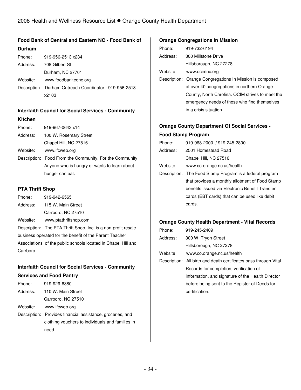# **Food Bank of Central and Eastern NC - Food Bank of**

| Durham   |                                                         |
|----------|---------------------------------------------------------|
| Phone:   | 919-956-2513 x234                                       |
| Address: | 708 Gilbert St                                          |
|          | Durham, NC 27701                                        |
| Website: | www.foodbankcenc.org                                    |
|          | Description: Durham Outreach Coordinator - 919-956-2513 |
|          | x2103                                                   |
|          |                                                         |

# **Interfaith Council for Social Services - Community**

#### **Kitchen**

| Phone:   | 919-967-0643 x14                                         |
|----------|----------------------------------------------------------|
| Address: | 100 W. Rosemary Street                                   |
|          | Chapel Hill, NC 27516                                    |
| Website: | www.ifcweb.org                                           |
|          | Description: Food From the Community, For the Community: |
|          | Anyone who is hungry or wants to learn about             |
|          | hunger can eat.                                          |
|          |                                                          |

### **PTA Thrift Shop**

| Phone:                                                        | 919-942-6565                                                  |  |
|---------------------------------------------------------------|---------------------------------------------------------------|--|
| Address:                                                      | 115 W. Main Street                                            |  |
|                                                               | Carrboro, NC 27510                                            |  |
| Website:                                                      | www.ptathriftshop.com                                         |  |
|                                                               | Description: The PTA Thrift Shop, Inc. is a non-profit resale |  |
| business operated for the benefit of the Parent Teacher       |                                                               |  |
| Associations of the public schools located in Chapel Hill and |                                                               |  |
| Carrboro.                                                     |                                                               |  |

## **Interfaith Council for Social Services - Community**

| <b>Services and Food Pantry</b> |                                                            |  |
|---------------------------------|------------------------------------------------------------|--|
| Phone:                          | 919-929-6380                                               |  |
|                                 | Address: 110 W. Main Street                                |  |
|                                 | Carrboro, NC 27510                                         |  |
| Website:                        | www.ifcweb.org                                             |  |
|                                 | Description: Provides financial assistance, groceries, and |  |
|                                 | clothing vouchers to individuals and families in           |  |
|                                 | need.                                                      |  |

### **Orange Congregations in Mission**

| Phone:   | 919-732-6194           |
|----------|------------------------|
| Address: | 300 Millstone Drive    |
|          | Hillsborough, NC 27278 |
| Website: | www.ocimnc.org         |

Description: Orange Congregations In Mission is composed of over 40 congregations in northern Orange County, North Carolina. OCIM strives to meet the emergency needs of those who find themselves in a crisis situation.

## **Orange County Department Of Social Services -**

### **Food Stamp Program**

| Phone:   | 919-968-2000 / 919-245-2800                              |
|----------|----------------------------------------------------------|
| Address: | 2501 Homestead Road                                      |
|          | Chapel Hill, NC 27516                                    |
| Website: | www.co.orange.nc.us/health                               |
|          | Description: The Food Stamp Program is a federal program |
|          | that provides a monthly allotment of Food Stamp          |
|          | benefits issued via Electronic Benefit Transfer          |
|          | cards (EBT cards) that can be used like debit            |
|          | cards.                                                   |
|          |                                                          |

### **Orange County Health Department - Vital Records**

| Phone:   | 919-245-2409                                                     |
|----------|------------------------------------------------------------------|
| Address: | 300 W. Tryon Street                                              |
|          | Hillsborough, NC 27278                                           |
| Website: | www.co.orange.nc.us/health                                       |
|          | Description: All birth and death certificates pass through Vital |
|          | Records for completion, verification of                          |
|          | information, and signature of the Health Director                |
|          | before being sent to the Register of Deeds for                   |
|          | certification.                                                   |
|          |                                                                  |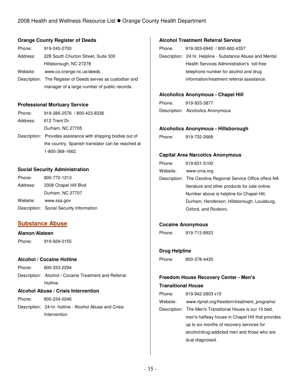### **Orange County Register of Deeds**

| Phone:   | 919-245-2700                                               |
|----------|------------------------------------------------------------|
| Address: | 228 South Churton Street, Suite 300                        |
|          | Hillsborough, NC 27278                                     |
| Website: | www.co.orange.nc.us/deeds                                  |
|          | Description: The Register of Deeds serves as custodian and |
|          | manager of a large number of public records.               |

#### **Professional Mortuary Service**

| Phone:   | 919-286-2576 / 800-423-8336                                  |
|----------|--------------------------------------------------------------|
| Address: | 612 Trent Dr.                                                |
|          | Durham, NC 27705                                             |
|          | Description: Provides assistance with shipping bodies out of |
|          | the country. Spanish translator can be reached at            |
|          | 1-800-368-1662.                                              |

### **Social Security Administration**

| Phone:   | 800-772-1213                             |
|----------|------------------------------------------|
| Address: | 3308 Chapel Hill Blvd                    |
|          | Durham, NC 27707                         |
| Website: | www.ssa.gov                              |
|          | Description: Social Security Information |

## **Substance Abuse**

### **Alanon/Alateen**

Phone: 919-929-0155

### **Alcohol / Cocaine Hotline**

| Phone: | 800-333-2294                                          |
|--------|-------------------------------------------------------|
|        | Description: Alcohol / Cocaine Treatment and Referral |
|        | Hotline.                                              |

### **Alcohol Abuse / Crisis Intervention**

Phone: 800-234-0246 Description: 24-hr. hotline - Alcohol Abuse and Crisis Intervention

### **Alcohol Treatment Referral Service**

| Phone: | 919-303-6940 / 800-662-4357                               |
|--------|-----------------------------------------------------------|
|        | Description: 24 hr. Helpline - Substance Abuse and Mental |
|        | Health Services Administration's toll-free                |
|        | telephone number for alcohol and drug                     |
|        | information/treatment referral assistance.                |

### **Alcoholics Anonymous - Chapel Hill**

Phone: 919-933-3877 Description: Alcoholics Anonymous

#### **Alcoholics Anonymous - Hillsborough**

| Phone: | 919-732-2668 |
|--------|--------------|
|        |              |

### **Capital Area Narcotics Anonymous**

| Phone:   | 919-831-5100                                                |
|----------|-------------------------------------------------------------|
| Website: | www.crna.org                                                |
|          | Description: The Carolina Regional Service Office offers NA |
|          | literature and other products for sale online.              |
|          | Number above is helpline for Chapel Hill,                   |
|          | Durham, Henderson, Hillsborough, Louisburg,                 |
|          | Oxford, and Roxboro.                                        |

### **Cocaine Anonymous**

Phone: 919-713-8923

### **Drug Helpline**

Phone: 800-378-4435

## **Freedom House Recovery Center - Men's**

### **Transitional House**

Phone: 919-942-2803 x15

Website: www.rtpnet.org/freedom/treatment\_programs/

Description: The Men's Transitional House is our 10 bed, men's halfway house in Chapel Hill that provides up to six months of recovery services for alcohol/drug-addicted men and those who are dual diagnosed.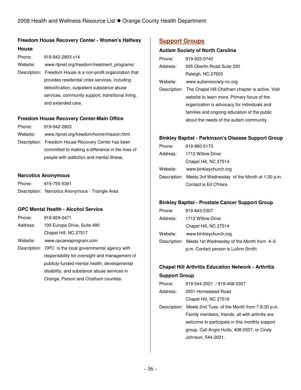## **Freedom House Recovery Center - Women's Halfway**

### **House**

| Phone:   | 919-942-2803 x14                                             |
|----------|--------------------------------------------------------------|
| Website: | www.rtpnet.org/freedom/treatment programs/                   |
|          | Description: Freedom House is a non-profit organization that |
|          | provides residential crisis services, including              |
|          | detoxification, outpatient substance abuse                   |
|          | services, community support, transitional living,            |
|          | and extended care.                                           |

### **Freedom House Recovery Center-Main Office**

| Phone:   | 919-942-2803                                        |
|----------|-----------------------------------------------------|
| Website: | www.rtpnet.org/freedom/home/mission.html            |
|          | Description: Freedom House Recovery Center has been |
|          | committed to making a difference in the lives of    |
|          | people with addiction and mental illness.           |

### **Narcotics Anonymous**

| Phone: | 919-755-5391                                     |
|--------|--------------------------------------------------|
|        | Description: Narcotics Anonymous - Triangle Area |

### **OPC Mental Health - Alcohol Service**

| Phone:   | 919-929-0471                                           |  |
|----------|--------------------------------------------------------|--|
| Address: | 100 Europa Drive, Suite 490                            |  |
|          | Chapel Hill, NC 27517                                  |  |
| Website: | www.opcareaprogram.com                                 |  |
|          | Description: OPC is the local governmental agency with |  |
|          | responsibility for oversight and management of         |  |
|          | publicly-funded mental health, developmental           |  |
|          | disability, and substance abuse services in            |  |
|          | Orange, Person and Chatham counties.                   |  |

## **Support Groups**

### **Autism Society of North Carolina**

| Phone:   | 919-933-0740                                                  |
|----------|---------------------------------------------------------------|
| Address: | 505 Oberlin Road Suite 230                                    |
|          | Raleigh, NC 27605                                             |
| Website: | www.autismsociety-nc.org                                      |
|          | Description: The Chapel Hill Chatham chapter is active. Visit |
|          | website to learn more. Primary focus of the                   |
|          | organization is advocacy for individuals and                  |
|          | families and ongoing education of the public                  |
|          | about the needs of the autism community.                      |

### **Binkley Baptist - Parkinson's Disease Support Group**

| Phone:   | 919-960-5173                                               |
|----------|------------------------------------------------------------|
| Address: | 1712 Willow Drive                                          |
|          | Chapel Hill, NC 27514                                      |
| Website: | www.binkleychurch.org                                      |
|          | Description: Meets 3rd Wednesday of the Month at 1:30 p.m. |
|          | Contact is Ed O'Hara.                                      |

### **Binkley Baptist - Prostate Cancer Support Group**

| Phone:   | 919-843-5307                                           |
|----------|--------------------------------------------------------|
| Address: | 1712 Willow Drive                                      |
|          | Chapel Hill, NC 27514                                  |
| Website: | www.binkleychurch.org                                  |
|          | Description: Meets 1st Wednesday of the Month from 4-5 |
|          | p.m. Contact person is LuAnn Smith.                    |

# **Chapel Hill Arthritis Education Network - Arthritis**

### **Support Group**

- Phone: 919-544-2021 / 919-408-0307
- Address: 2551 Homestead Road Chapel Hill, NC 27516

Description: Meets 2nd Tues. of the Month from 7-8:30 p.m. Family members, friends, all with arthritis are welcome to participate in this monthly support group. Call Angie Hutto, 408-0307, or Cindy Johnson, 544-2021.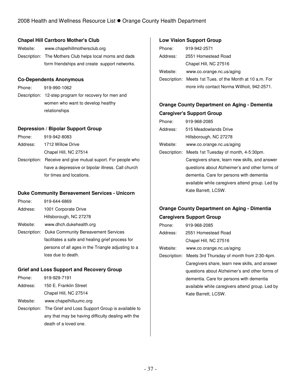### **Chapel Hill Carrboro Mother's Club**

Website: www.chapelhillmothersclub.org Description: The Mothers Club helps local moms and dads form friendships and create support networks.

### **Co-Dependents Anonymous**

Phone: 919-990-1062 Description: 12-step program for recovery for men and women who want to develop healthy relationships

### **Depression / Bipolar Support Group**

| Phone:   | 919-942-8083                                                |
|----------|-------------------------------------------------------------|
| Address: | 1712 Willow Drive                                           |
|          | Chapel Hill, NC 27514                                       |
|          | Description: Receive and give mutual suport. For people who |
|          |                                                             |

have a depressive or bipolar illness. Call church for times and locations.

### **Duke Community Bereavement Services - Unicorn**

| Phone:   | 919-644-6869            |
|----------|-------------------------|
| Address: | 1001 Corporate Drive    |
|          | Hillsborough, NC 27278  |
| Website: | www.dhch.dukehealth.org |

Description: Duke Community Bereavement Services facilitates a safe and healing grief process for persons of all ages in the Triangle adjusting to a loss due to death.

### **Grief and Loss Support and Recovery Group**

| Phone:   | 919-929-7191                                                  |
|----------|---------------------------------------------------------------|
| Address: | 150 E. Franklin Street                                        |
|          | Chapel Hill, NC 27514                                         |
| Website: | www.chapelhilluumc.org                                        |
|          | Description: The Grief and Loss Support Group is available to |
|          | any that may be having difficulty dealing with the            |
|          | death of a loved one.                                         |

### **Low Vision Support Group**

| Phone:   | 919-942-2571                                             |
|----------|----------------------------------------------------------|
| Address: | 2551 Homestead Road                                      |
|          | Chapel Hill, NC 27516                                    |
| Website: | www.co.orange.nc.us/aging                                |
|          | Description: Meets 1st Tues. of the Month at 10 a.m. For |
|          | more info contact Norma Willhoit, 942-2571.              |

## **Orange County Department on Aging - Dementia Caregiver's Support Group**

| Phone:   | 919-968-2085                                       |
|----------|----------------------------------------------------|
| Address: | 515 Meadowlands Drive                              |
|          | Hillsborough, NC 27278                             |
| Website: | www.co.orange.nc.us/aging                          |
|          | Description: Meets 1st Tuesday of month, 4-5:30pm. |
|          | Caregivers share, learn new skills, and answer     |
|          | questions about Alzheimer's and other forms of     |
|          | dementia. Care for persons with dementia           |
|          | available while caregivers attend group. Led by    |
|          | Kate Barrett, LCSW.                                |

# **Orange County Department on Aging - Dimentia**

### **Caregivers Support Group**

| Phone:   | 919-968-2085                                            |
|----------|---------------------------------------------------------|
| Address: | 2551 Homestead Road                                     |
|          | Chapel Hill, NC 27516                                   |
| Website: | www.co.orange.nc.us/aging                               |
|          | Description: Meets 3rd Thursday of month from 2:30-4pm. |
|          | Caregivers share, learn new skills, and answer          |
|          | questions about Alzheimer's and other forms of          |
|          | dementia. Care for persons with dementia                |
|          | available while caregivers attend group. Led by         |
|          | Kate Barrett, LCSW.                                     |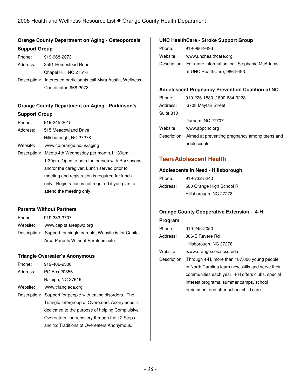## **Orange County Department on Aging - Osteoporosis Support Group**

| Phone:   | 919-968-2073                                                    |
|----------|-----------------------------------------------------------------|
| Address: | 2551 Homestead Road                                             |
|          | Chapel Hill, NC 27516                                           |
|          | Description: Interested participants call Myra Austin, Wellness |
|          | Coordinator, 968-2073.                                          |

## **Orange County Department on Aging - Parkinson's Support Group**

| Phone:   | 919-245-2015                                          |
|----------|-------------------------------------------------------|
| Address: | 515 Meadowland Drive                                  |
|          | Hillsborough, NC 27278                                |
| Website: | www.co.orange.nc.us/aging                             |
|          | Description: Meets 4th Wednesday per month, 11:30am - |
|          | 1:30pm. Open to both the person with Parkinsons       |
|          | and/or the caregiver. Lunch served prior to           |
|          | meeting and registration is required for lunch        |
|          | only. Registration is not required if you plan to     |
|          | attend the meeting only.                              |

### **Parents Without Partners**

| Phone:   | 919-383-3707                                                    |
|----------|-----------------------------------------------------------------|
| Website: | www.capitalareapwp.org                                          |
|          | Description: Support for single parents; Website is for Capital |
|          | Area Parents Without Parntners site.                            |

### **Triangle Overeater's Anonymous**

| Phone:   | 919-406-9300      |
|----------|-------------------|
| Address: | PO Box 20356      |
|          | Raleigh, NC 27619 |

Website: www.triangleoa.org

Description: Support for people with eating disorders. The Triangle Intergroup of Overeaters Anonymous is dedicated to the purpose of helping Complulsive Overeaters find recovery through the 12 Steps and 12 Traditions of Overeaters Anonymous.

### **UNC HealthCare - Stroke Support Group**

| Phone:   | 919-966-9493                                              |
|----------|-----------------------------------------------------------|
| Website: | www.unchealthcare.org                                     |
|          | Description: For more information, call Stephanie McAdams |
|          | at UNC HealthCare, 966-9493.                              |

### **Adoelescent Pregnancy Prevention Coalition of NC**

| Phone:    | 919-226-1880 / 800-684-3228                                |
|-----------|------------------------------------------------------------|
| Address:  | 3708 Mayfair Street                                        |
| Suite 310 |                                                            |
|           | Durham, NC 27707                                           |
| Website:  | www.appcnc.org                                             |
|           | Description: Aimed at preventing pregnancy among teens and |
|           | adolescents.                                               |

## **Teen/Adolescent Health**

#### **Adolescents in Need - Hillsborough**

| Phone:   | 919-732-5240             |
|----------|--------------------------|
| Address: | 500 Orange High School R |
|          | Hillsborough, NC 27278   |

### **Orange County Cooperative Extension - 4-H**

#### **Program**

| Phone:   | 919-245-2050                                             |
|----------|----------------------------------------------------------|
| Address: | 306-E Revere Rd                                          |
|          | Hillsborough, NC 27278                                   |
| Website: | www.orange.ces.ncsu.edu                                  |
|          | Description: Through 4-H, more than 187,000 young people |
|          | in North Carolina learn new skills and serve their       |
|          | communities each year. 4-H offers clubs, special         |

interest programs, summer camps, school enrichment and after-school child care.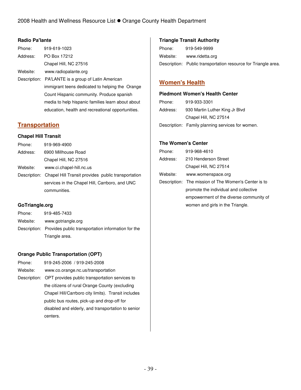### **Radio Pa'lante**

| Phone:   | 919-619-1023                                       |
|----------|----------------------------------------------------|
| Address: | PO Box 17212                                       |
|          | Chapel Hill, NC 27516                              |
| Website: | www.radiopalante.org                               |
|          | Description: PA'LANTE is a group of Latin American |
|          | immigrant teens dedicated to helping the Orange    |
|          | Count Hispanic community. Produce spanish          |
|          | media to help hispanic families learn about about  |
|          |                                                    |

## **Transportation**

### **Chapel Hill Transit**

| Phone:   | 919-969-4900                                                    |
|----------|-----------------------------------------------------------------|
| Address: | 6900 Millhouse Road                                             |
|          | Chapel Hill, NC 27516                                           |
| Website: | www.ci.chapel-hill.nc.us                                        |
|          | Description: Chapel Hill Transit provides public transportation |
|          | services in the Chapel Hill, Carrboro, and UNC                  |
|          | communities.                                                    |
|          |                                                                 |

education, health and recreational opportunities.

### **GoTriangle.org**

| Phone:   | 919-485-7433                                                    |
|----------|-----------------------------------------------------------------|
| Website: | www.gotriangle.org                                              |
|          | Description: Provides public transportation information for the |
|          | Triangle area.                                                  |

### **Orange Public Transportation (OPT)**

| Phone:   | 919-245-2006 / 919-245-2008                                 |
|----------|-------------------------------------------------------------|
| Website: | www.co.orange.nc.us/transportation                          |
|          | Description: OPT provides public transportation services to |
|          | the citizens of rural Orange County (excluding              |
|          | Chapel Hill/Carrboro city limits). Transit includes         |
|          | public bus routes, pick-up and drop-off for                 |
|          | disabled and elderly, and transportation to senior          |
|          | centers.                                                    |

### **Triangle Transit Authority**

| Phone:   | 919-549-9999                                                   |
|----------|----------------------------------------------------------------|
| Website: | www.ridetta.org                                                |
|          | Description: Public transportation resource for Triangle area. |

## **Women's Health**

#### **Piedmont Women's Health Center**

| Phone:   | 919-933-3301                                     |
|----------|--------------------------------------------------|
| Address: | 930 Martin Luther King Jr Blvd                   |
|          | Chapel Hill, NC 27514                            |
|          | Description: Family planning services for women. |

#### **The Women's Center**

| Phone:   | 919-968-4610                                         |
|----------|------------------------------------------------------|
| Address: | 210 Henderson Street                                 |
|          | Chapel Hill, NC 27514                                |
| Website: | www.womenspace.org                                   |
|          | Description: The mission of The Women's Center is to |
|          | promote the individual and collective                |
|          | empowerment of the diverse community of              |
|          | women and girls in the Triangle.                     |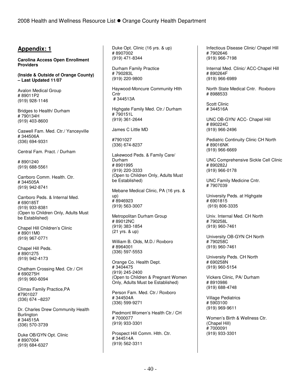## **Appendix: 1**

**Carolina Access Open Enrollment Providers** 

**(Inside & Outside of Orange County) – Last Updated 11/07** 

Avalon Medical Group # 89011P2 (919) 928-1146

Bridges to Health/ Durham # 790134H (919) 403-8600

Caswell Fam. Med. Ctr./ Yanceyville # 344506A (336) 694-9331

Central Fam. Pract. / Durham

# 8901240 (919) 688-5561

Carrboro Comm. Health. Ctr. # 344505A (919) 942-8741

Carrboro Peds. & Internal Med. # 690185T (919) 933-8381 (Open to Children Only, Adults Must be Established)

Chapel Hill Children's Clinic # 89011M0 (919) 967-0771

Chapel Hill Peds. # 8901275 (919) 942-4173

Chatham Crossing Med. Ctr./ CH # 690275H (919) 960-6094

Climax Family Practice,PA #7901027 (336) 674 –8237

Dr. Charles Drew Community Health **Burlington** # 344515A (336) 570-3739

Duke OB/GYN Opt. Clinic # 8907004 (919) 684-6327

Duke Opt. Clinic (16 yrs. & up) # 8907002 (919) 471-8344

Durham Family Practice # 790283L (919) 220-9800

Haywood-Moncure Community Hlth **Cntr** # 344513A

Highgate Family Med. Ctr./ Durham # 790151L (919) 361-2644

James C Little MD

#7901027 (336) 674-8237

Lakewood Peds. & Family Care/ Durham # 8901995 (919) 220-3333 (Open to Children Only, Adults Must be Established)

Mebane Medical Clinic, PA (16 yrs. & up) # 8946923 (919) 563-3007

Metropolitan Durham Group # 89012NC (919) 383-1854 (21 yrs. & up)

William B. Olds, M.D./ Roxboro # 8964001 (336) 597-5553

Orange Co. Health Dept. # 3404475 (919) 245-2400 (Open to Children & Pregnant Women Only, Adults Must be Established)

Person Fam. Med. Ctr./ Roxboro # 344504A (336) 599-9271

Piedmont Women's Health Ctr./ CH # 7000077 (919) 933-3301

Prospect Hill Comm. Hlth. Ctr. # 344514A (919) 562-3311

Infectious Disease Clinic/ Chapel Hill # 7902646 (919) 966-7198

Internal Med. Clinic/ ACC-Chapel Hill # 890264F (919) 966-6989

North State Medical Cntr. Roxboro # 8988533

Scott Clinic # 344516A

UNC OB-GYN/ ACC- Chapel Hill # 890224C (919) 966-2496

Pediatric Continuity Clinic CH North # 89016NK (919) 966-6669

UNC Comprehensive Sickle Cell Clinic # 890282J (919) 966-0178

UNC Family Medicine Cntr. # 7907039

University Peds. at Highgate # 6901815 (919) 806-3335

Univ. Internal Med. CH North # 790258L (919) 960-7461

University OB-GYN CH North # 790258C (919) 960-7461

University Peds. CH North # 690258N (919) 960-5154

Vickers Clinic, PA/ Durham # 8910986 (919) 688-4748

Village Pediatrics # 5903100 (919) 969-9611

Women's Birth & Wellness Ctr. (Chapel Hill) # 7000091 (919) 933-3301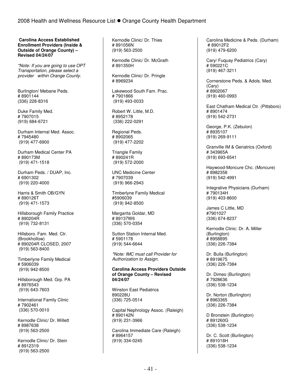**Carolina Access Established Enrollment Providers (Inside & Outside of Orange County) – Revised 04/24/07** 

\*Note: If you are going to use OPT Transportation, please select a provider within Orange County.

Burlington/ Mebane Peds. # 8901144 (336) 228-8316

Duke Family Med. # 7907015 (919) 684-6721

Durham Internal Med. Assoc. # 7945480 (919) 477-6900

Durham Medical Center PA # 890173M (919) 471-1518

Durham Peds. / DUAP, Inc. # 6901302 (919) 220-4000

Harris & Smith OB/GYN # 890126T (919) 471-1573

Hillsborough Family Practice # 890204R (919) 732-8131

Hillsboro. Fam. Med. Ctr. (Brookhollow) # 890204R CLOSED, 2007 (919) 563-8400

Timberlyne Family Medical # 5906039 (919) 942-8500

Hillsborough Med. Grp. PA # 8976543 (919) 643-7603

International Family Clinic # 7902461 (336) 570-0010

Kernodle Clinic/ Dr. Willett # 8987638 (919) 563-2500

Kernodle Clinic/ Dr. Stein # 8912319 (919) 563-2500

Kernodle Clinic/ Dr. Thies # 891056N (919) 563-2500

Kernodle Clinic/ Dr. McGrath # 891350H

Kernodle Clinic/ Dr. Pringle # 8969234

Lakewood South Fam. Prac. # 7901866 (919) 493-0033

Robert W. Little, M.D. # 8952178 (336) 222-0291

Regional Peds. # 8902065 (919) 477-2202

Triangle Family # 890241R (919) 572-2000

UNC Medicine Center # 7907039 (919) 966-2943

Timberlyne Family Medical #5906039 (919) 942-8500

Margarita Goldar, MD # 89137W6 (336) 570-0354

Sutton Station Internal Med. # 5901178 (919) 544-6644

\*Note: IMC must call Provider for Authorization to Assign.

**Carolina Access Providers Outside of Orange County – Revised 04/24/07** 

Winston East Pediatrics 890228U (336) 725-0514

Capital Nephrology Assoc. (Raleigh) # 890142N (919) 231-3966

Carolina Immediate Care (Raleigh) # 8964157 (919) 334-0245

Carolina Medicine & Peds. (Durham) # 89012F2 (919) 479-6200

Cary/ Fuquay Pediatrics (Cary) # 590221C (919) 467-3211

Cornerstone Peds. & Adols. Med. (Cary) # 8902067 (919) 460-0993

East Chatham Medical Ctr. (Pittsboro) # 8901474 (919) 542-2731

George, P.K. (Zebulon) # 8935107 (919) 269-9111

Granville IM & Geriatrics (Oxford) # 343965A (919) 693-6541

Haywood-Moncure Chc. (Moncure) # 8982358 (919) 542-4991

Integrative Physicians (Durham) # 790134H (919) 403-8600

James C Little, MD #7901027 (336) 674-8237

Kernodle Clinic: Dr. A. Miller (Burlington) # 8958895 (336) 226-7384

Dr. Bulla (Burlington) # 8919675 (336) 226-7384

Dr. Dimeo (Burlington) # 7928636 (336) 538-1234

Dr. Norton (Burlington) # 8963365 (336) 226-7384

D Bronstein (Burlington) # 891260G (336) 538-1234

Dr. C. Scott (Burlington) # 891018H (336) 538-1234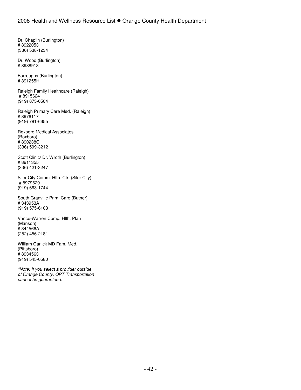Dr. Chaplin (Burlington) # 8922053 (336) 538-1234

Dr. Wood (Burlington) # 8988913

Burroughs (Burlington) # 891255H

Raleigh Family Healthcare (Raleigh) # 8915624 (919) 875-0504

Raleigh Primary Care Med. (Raleigh) # 8976117 (919) 781-6655

Roxboro Medical Associates (Roxboro) # 890238C (336) 599-3212

Scott Clinic/ Dr. Wroth (Burlington) # 8911355 (336) 421-3247

Siler City Comm. Hlth. Ctr. (Siler City) # 8979629 (919) 663-1744

South Granville Prim. Care (Butner) # 343953A (919) 575-6103

Vance-Warren Comp. Hlth. Plan (Manson) # 344566A (252) 456-2181

William Garlick MD Fam. Med. (Pittsboro) # 8934563 (919) 545-0580

\*Note: If you select a provider outside of Orange County, OPT Transportation cannot be guaranteed.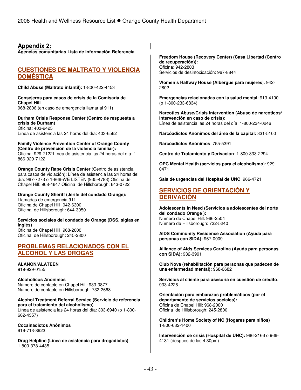## **Appendix 2:**

**Agencias comunitarias Lista de Información Referencia**

## **CUESTIONES DE MALTRATO Y VIOLENCIA DOMÉSTICA**

**Child Abuse (Maltrato infantil):** 1-800-422-4453

#### **Consejeros para casos de crisis de la Comisaría de Chapel Hill**  968-2806 (en caso de emergencia llamar al 911)

#### **Durham Crisis Response Center (Centro de respuesta a crisis de Durham)**  Oficina: 403-9425 Línea de asistencia las 24 horas del día: 403-6562

**Family Violence Prevention Center of Orange County (Centro de prevención de la violencia familiar):**  Oficina: 929-7122 Línea de asistencia las 24 horas del día: 1- 866-929-7122

**Orange County Rape Crisis Center** (Centro de asistencia para casos de violación): Línea de asistencia las 24 horas del día: 967-7273 o 1-866-WE LISTEN (935-4783) Oficina de Chapel Hill: 968-4647 Oficina de Hillsborough: 643-0722

#### **Orange County Sheriff (Jerife del condado Orange):** Llamadas de emergencia 911 Oficina de Chapel Hill: 942-6300 Oficina de Hillsborough: 644-3050

**Servicios sociales del condado de Orange (DSS, siglas en inglés)**  Oficina de Chapel Hill: 968-2000 Oficina de Hillsborough: 245-2800

## **PROBLEMAS RELACIONADOS CON EL ALCOHOL Y LAS DROGAS**

**ALANON/ALATEEN** 919-929-0155

**Alcohólicos Anónimos** Número de contacto en Chapel Hill: 933-3877 Número de contacto en Hillsborough: 732-2668

**Alcohol Treatment Referral Service (Servicio de referencia para el tratamiento del alcoholismo)**  Línea de asistencia las 24 horas del día: 303-6940 (o 1-800- 662-4357)

**Cocainadictos Anónimos**  919-713-8923

**Drug Helpline (Línea de asistencia para drogadictos)** 1-800-378-4435

**Freedom House (Recovery Center) (Casa Libertad (Centro de recuperación)):**  Oficina: 942-2803 Servicios de desintoxicación: 967-8844

**Women's Halfway House (Albergue para mujeres**): 942- 2802

**Emergencias relacionadas con la salud mental**: 913-4100 (o 1-800-233-6834)

**Narcotics Abuse/Crisis Intervention (Abuso de narcóticos/ intervención en caso de crisis):** Línea de asistencia las 24 horas del día: 1-800-234-0246

**Narcóadictos Anónimos del área de la capital:** 831-5100

**Narcóadictos Anónimos**: 755-5391

**Centro de Tratamiento y Derivación**: 1-800-333-2294

**OPC Mental Health (servicios para el alcoholismo**): 929- 0471

**Sala de urgencias del Hospital de UNC**: 966-4721

## **SERVICIOS DE ORIENTACIÓN Y DERIVACIÓN**

**Adolescents in Need (Servicios a adolescentes del norte del condado Orange ):**  Número de Chapel Hill: 966-2504 Número de Hillsborough: 732-5240

**AIDS Community Residence Association (Ayuda para personas con SIDA):** 967-0009

**Alliance of Aids Services Carolina (Ayuda para personas con SIDA):** 932-3991

**Club Nova (rehabilitación para personas que padecen de una enfermedad mental):** 968-6682

**Servicios al cliente para asesoría en cuestión de crédito**: 933-4226

**Orientación para embarazos problemáticos (por el departamento de servicios sociales):**  Oficina de Chapel Hill: 968-2000 Oficina de Hillsborough: 245-2800

**Children's Home Society of NC (Hogares para niños)**  1-800-632-1400

**Intervención de crisis (Hospital de UNC):** 966-2166 o 966- 4131 (después de las 4:30pm)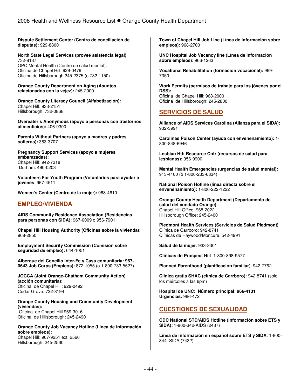**Dispute Settlement Center (Centro de conciliación de disputas):** 929-8800

#### **North State Legal Services (provee asistencia legal)**  732-8137 OPC Mental Health (Centro de salud mental):

Oficina de Chapel Hill: 929-0479 Oficina de Hillsborough 245-2375 (o 732-1150)

**Orange County Department on Aging (Asuntos relacionados con la vejez):** 245-2000

**Orange County Literacy Council (Alfabetización):**  Chapel Hill: 933-2151 Hillsborough: 732-0868

**Overeater's Anonymous (apoyo a personas con trastornos alimenticios):** 406-9300

**Parents Without Partners (apoyo a madres y padres solteros):** 383-3707

**Pregnancy Support Services (apoyo a mujeres embarazadas):**  Chapel Hill: 942-7318 Durham: 490-0203

**Volunteers For Youth Program (Voluntarios para ayudar a jóvenes**: 967-4511

**Women's Center (Centro de la mujer):** 968-4610

## **EMPLEO/VIVIENDA**

**AIDS Community Residence Association (Residencias para personas con SIDA):** 967-0009 o 956-7901

**Chapel Hill Housing Authority (Oficinas sobre la vivienda):** 968-2850

**Employment Security Commission (Comisión sobre seguridad de empleo):** 644-1051

**Albergue del Concilio Inter-Fe y Casa comunitaria: 967- 0643 Job Corps (Empleos):** 872-1055 (o 1-800-733-5627)

**JOCCA (Joint Orange-Chatham Community Action) (acción comunitaria):**  Oficina de Chapel Hill: 929-0492 Cedar Grove: 732-8194

**Orange County Housing and Community Development (viviendas):**  Oficina de Chapel Hill 969-3016 Oficina de Hillsborough: 245-2490

**Orange County Job Vacancy Hotline (Línea de información sobre empleos):**  Chapel Hill: 967-9251 ext. 2560 Hillsborough: 245-2560

**Town of Chapel Hill Job Line (Línea de información sobre empleos):** 968-2700

**UNC Hospital Job Vacancy line (Línea de información sobre empleos):** 966-1263

**Vocational Rehabilitation (formación vocacional):** 969- 7350

**Work Permits (permisos de trabajo para los jóvenes por el DSS):**  Oficina de Chapel Hill: 968-2000 Oficina de Hillsborough: 245-2800

## **SERVICIOS DE SALUD**

**Alliance of AIDS Services Carolina (Alianza para el SIDA):** 932-3991

**Carolinas Poison Center (ayuda con envenenamiento):** 1- 800-848-6946

**Lesbian Hth Resource Cntr (recursos de salud para lesbianas):** 956-9900

**Mental Health Emergencies (urgencias de salud mental):** 913-4100 (o 1-800-233-6834)

**National Poison Hotline (línea directa sobre el envenenamiento):** 1-800-222-1222

**Orange County Health Department (Departamento de salud del condado Orange)**  Chapel Hill Office: 968-2022 Hillsborough Office: 245-2400

**Piedmont Health Services (Servicios de Salud Piedmont)**  Clínica de Carrboro: 942-8741 Clínicas de Haywood/Moncure: 542-4991

**Salud de la mujer**: 933-3301

**Clínicas de Prospect Hill**: 1-800-898-9577

**Planned Parenthood (planificación familiar**): 942-7762

**Clínica gratis SHAC (clínica de Carrboro):** 942-8741 (solo los miércoles a las 6pm)

**Hospital de UNC: Número principal: 966-4131 Urgencias:** 966-472

## **CUESTIONES DE SEXUALIDAD**

**CDC National STD/AIDS Hotline (información sobre ETS y SIDA):** 1-800-342-AIDS (2437)

**Línea de información en español sobre ETS y SIDA**: 1-800- 344 SIDA (7432)